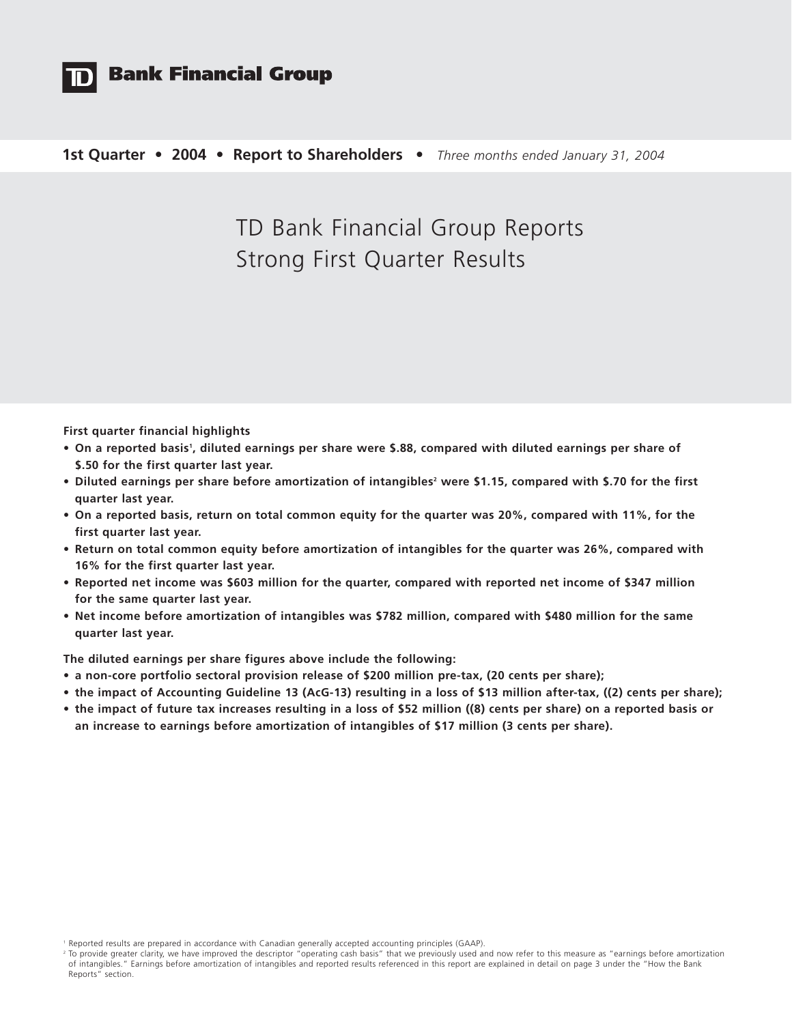

## **Bank Financial Group**

### **1st Quarter • 2004 • Report to Shareholders •** *Three months ended January 31, 2004*

# TD Bank Financial Group Reports Strong First Quarter Results

**First quarter financial highlights** 

- **•** On a reported basis<sup>1</sup>, diluted earnings per share were \$.88, compared with diluted earnings per share of **\$.50 for the first quarter last year.**
- Diluted earnings per share before amortization of intangibles<sup>2</sup> were \$1.15, compared with \$.70 for the first **quarter last year.**
- **• On a reported basis, return on total common equity for the quarter was 20%, compared with 11%, for the first quarter last year.**
- **• Return on total common equity before amortization of intangibles for the quarter was 26%, compared with 16% for the first quarter last year.**
- **• Reported net income was \$603 million for the quarter, compared with reported net income of \$347 million for the same quarter last year.**
- **Net income before amortization of intangibles was \$782 million, compared with \$480 million for the same quarter last year.**

**The diluted earnings per share figures above include the following:**

- **a non-core portfolio sectoral provision release of \$200 million pre-tax, (20 cents per share);**
- **the impact of Accounting Guideline 13 (AcG-13) resulting in a loss of \$13 million after-tax, ((2) cents per share);**
- **the impact of future tax increases resulting in a loss of \$52 million ((8) cents per share) on a reported basis or an increase to earnings before amortization of intangibles of \$17 million (3 cents per share).**

<sup>1</sup> Reported results are prepared in accordance with Canadian generally accepted accounting principles (GAAP).

<sup>&</sup>lt;sup>2</sup> To provide greater clarity, we have improved the descriptor "operating cash basis" that we previously used and now refer to this measure as "earnings before amortization of intangibles." Earnings before amortization of intangibles and reported results referenced in this report are explained in detail on page 3 under the "How the Bank Reports" section.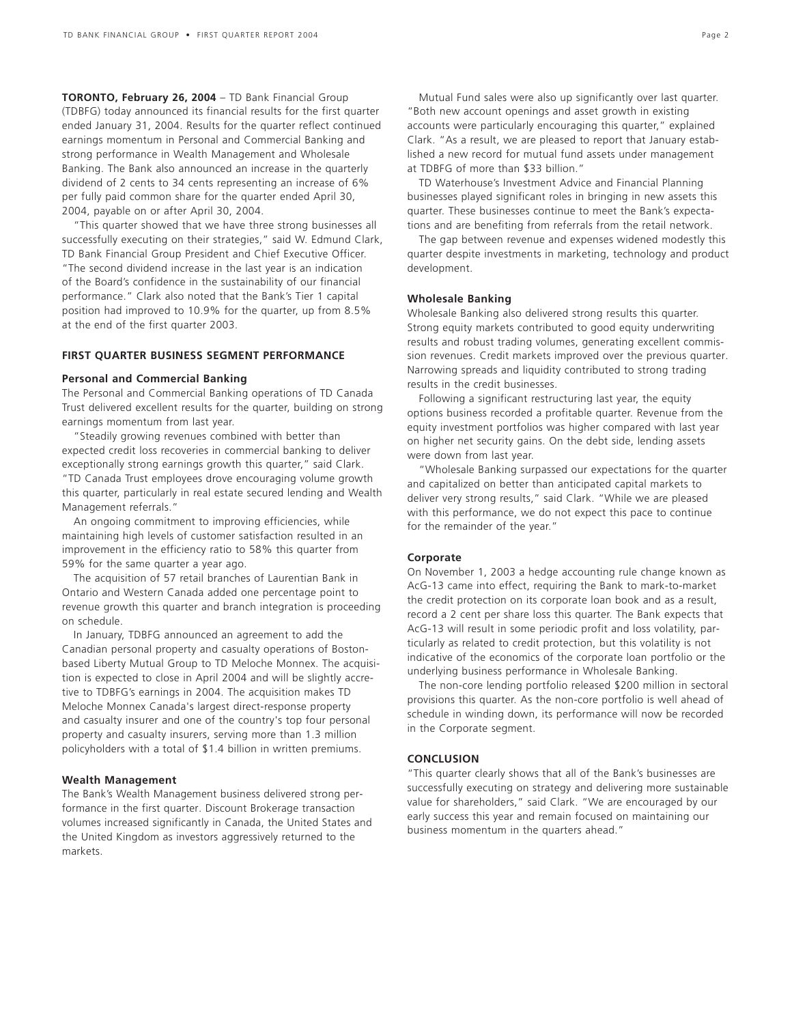**TORONTO, February 26, 2004** – TD Bank Financial Group (TDBFG) today announced its financial results for the first quarter ended January 31, 2004. Results for the quarter reflect continued earnings momentum in Personal and Commercial Banking and strong performance in Wealth Management and Wholesale Banking. The Bank also announced an increase in the quarterly dividend of 2 cents to 34 cents representing an increase of 6% per fully paid common share for the quarter ended April 30, 2004, payable on or after April 30, 2004.

"This quarter showed that we have three strong businesses all successfully executing on their strategies," said W. Edmund Clark, TD Bank Financial Group President and Chief Executive Officer. "The second dividend increase in the last year is an indication of the Board's confidence in the sustainability of our financial performance." Clark also noted that the Bank's Tier 1 capital position had improved to 10.9% for the quarter, up from 8.5% at the end of the first quarter 2003.

### **FIRST QUARTER BUSINESS SEGMENT PERFORMANCE**

### **Personal and Commercial Banking**

The Personal and Commercial Banking operations of TD Canada Trust delivered excellent results for the quarter, building on strong earnings momentum from last year.

"Steadily growing revenues combined with better than expected credit loss recoveries in commercial banking to deliver exceptionally strong earnings growth this quarter," said Clark. "TD Canada Trust employees drove encouraging volume growth this quarter, particularly in real estate secured lending and Wealth Management referrals."

An ongoing commitment to improving efficiencies, while maintaining high levels of customer satisfaction resulted in an improvement in the efficiency ratio to 58% this quarter from 59% for the same quarter a year ago.

The acquisition of 57 retail branches of Laurentian Bank in Ontario and Western Canada added one percentage point to revenue growth this quarter and branch integration is proceeding on schedule.

In January, TDBFG announced an agreement to add the Canadian personal property and casualty operations of Bostonbased Liberty Mutual Group to TD Meloche Monnex. The acquisition is expected to close in April 2004 and will be slightly accretive to TDBFG's earnings in 2004. The acquisition makes TD Meloche Monnex Canada's largest direct-response property and casualty insurer and one of the country's top four personal property and casualty insurers, serving more than 1.3 million policyholders with a total of \$1.4 billion in written premiums.

### **Wealth Management**

The Bank's Wealth Management business delivered strong performance in the first quarter. Discount Brokerage transaction volumes increased significantly in Canada, the United States and the United Kingdom as investors aggressively returned to the markets.

Mutual Fund sales were also up significantly over last quarter. "Both new account openings and asset growth in existing accounts were particularly encouraging this quarter," explained Clark. "As a result, we are pleased to report that January established a new record for mutual fund assets under management at TDBFG of more than \$33 billion."

TD Waterhouse's Investment Advice and Financial Planning businesses played significant roles in bringing in new assets this quarter. These businesses continue to meet the Bank's expectations and are benefiting from referrals from the retail network.

The gap between revenue and expenses widened modestly this quarter despite investments in marketing, technology and product development.

### **Wholesale Banking**

Wholesale Banking also delivered strong results this quarter. Strong equity markets contributed to good equity underwriting results and robust trading volumes, generating excellent commission revenues. Credit markets improved over the previous quarter. Narrowing spreads and liquidity contributed to strong trading results in the credit businesses.

Following a significant restructuring last year, the equity options business recorded a profitable quarter. Revenue from the equity investment portfolios was higher compared with last year on higher net security gains. On the debt side, lending assets were down from last year.

"Wholesale Banking surpassed our expectations for the quarter and capitalized on better than anticipated capital markets to deliver very strong results," said Clark. "While we are pleased with this performance, we do not expect this pace to continue for the remainder of the year."

### **Corporate**

On November 1, 2003 a hedge accounting rule change known as AcG-13 came into effect, requiring the Bank to mark-to-market the credit protection on its corporate loan book and as a result, record a 2 cent per share loss this quarter. The Bank expects that AcG-13 will result in some periodic profit and loss volatility, particularly as related to credit protection, but this volatility is not indicative of the economics of the corporate loan portfolio or the underlying business performance in Wholesale Banking.

The non-core lending portfolio released \$200 million in sectoral provisions this quarter. As the non-core portfolio is well ahead of schedule in winding down, its performance will now be recorded in the Corporate segment.

### **CONCLUSION**

"This quarter clearly shows that all of the Bank's businesses are successfully executing on strategy and delivering more sustainable value for shareholders," said Clark. "We are encouraged by our early success this year and remain focused on maintaining our business momentum in the quarters ahead."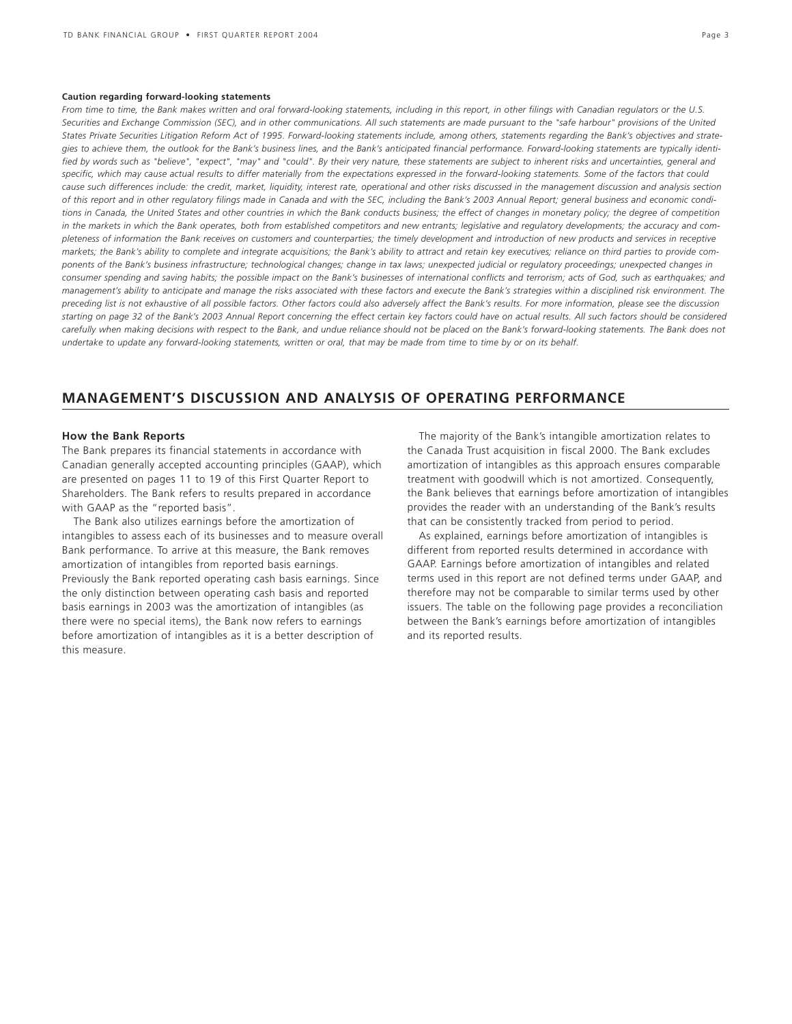#### **Caution regarding forward-looking statements**

*From time to time, the Bank makes written and oral forward-looking statements, including in this report, in other filings with Canadian regulators or the U.S. Securities and Exchange Commission (SEC), and in other communications. All such statements are made pursuant to the "safe harbour" provisions of the United States Private Securities Litigation Reform Act of 1995. Forward-looking statements include, among others, statements regarding the Bank's objectives and strategies to achieve them, the outlook for the Bank's business lines, and the Bank's anticipated financial performance. Forward-looking statements are typically identified by words such as "believe", "expect", "may" and "could". By their very nature, these statements are subject to inherent risks and uncertainties, general and specific, which may cause actual results to differ materially from the expectations expressed in the forward-looking statements. Some of the factors that could cause such differences include: the credit, market, liquidity, interest rate, operational and other risks discussed in the management discussion and analysis section of this report and in other regulatory filings made in Canada and with the SEC, including the Bank's 2003 Annual Report; general business and economic conditions in Canada, the United States and other countries in which the Bank conducts business; the effect of changes in monetary policy; the degree of competition in the markets in which the Bank operates, both from established competitors and new entrants; legislative and regulatory developments; the accuracy and completeness of information the Bank receives on customers and counterparties; the timely development and introduction of new products and services in receptive markets; the Bank's ability to complete and integrate acquisitions; the Bank's ability to attract and retain key executives; reliance on third parties to provide components of the Bank's business infrastructure; technological changes; change in tax laws; unexpected judicial or regulatory proceedings; unexpected changes in consumer spending and saving habits; the possible impact on the Bank's businesses of international conflicts and terrorism; acts of God, such as earthquakes; and management's ability to anticipate and manage the risks associated with these factors and execute the Bank's strategies within a disciplined risk environment. The preceding list is not exhaustive of all possible factors. Other factors could also adversely affect the Bank's results. For more information, please see the discussion starting on page 32 of the Bank's 2003 Annual Report concerning the effect certain key factors could have on actual results. All such factors should be considered carefully when making decisions with respect to the Bank, and undue reliance should not be placed on the Bank's forward-looking statements. The Bank does not undertake to update any forward-looking statements, written or oral, that may be made from time to time by or on its behalf.*

### **MANAGEMENT'S DISCUSSION AND ANALYSIS OF OPERATING PERFORMANCE**

### **How the Bank Reports**

The Bank prepares its financial statements in accordance with Canadian generally accepted accounting principles (GAAP), which are presented on pages 11 to 19 of this First Quarter Report to Shareholders. The Bank refers to results prepared in accordance with GAAP as the "reported basis".

The Bank also utilizes earnings before the amortization of intangibles to assess each of its businesses and to measure overall Bank performance. To arrive at this measure, the Bank removes amortization of intangibles from reported basis earnings. Previously the Bank reported operating cash basis earnings. Since the only distinction between operating cash basis and reported basis earnings in 2003 was the amortization of intangibles (as there were no special items), the Bank now refers to earnings before amortization of intangibles as it is a better description of this measure.

The majority of the Bank's intangible amortization relates to the Canada Trust acquisition in fiscal 2000. The Bank excludes amortization of intangibles as this approach ensures comparable treatment with goodwill which is not amortized. Consequently, the Bank believes that earnings before amortization of intangibles provides the reader with an understanding of the Bank's results that can be consistently tracked from period to period.

As explained, earnings before amortization of intangibles is different from reported results determined in accordance with GAAP. Earnings before amortization of intangibles and related terms used in this report are not defined terms under GAAP, and therefore may not be comparable to similar terms used by other issuers. The table on the following page provides a reconciliation between the Bank's earnings before amortization of intangibles and its reported results.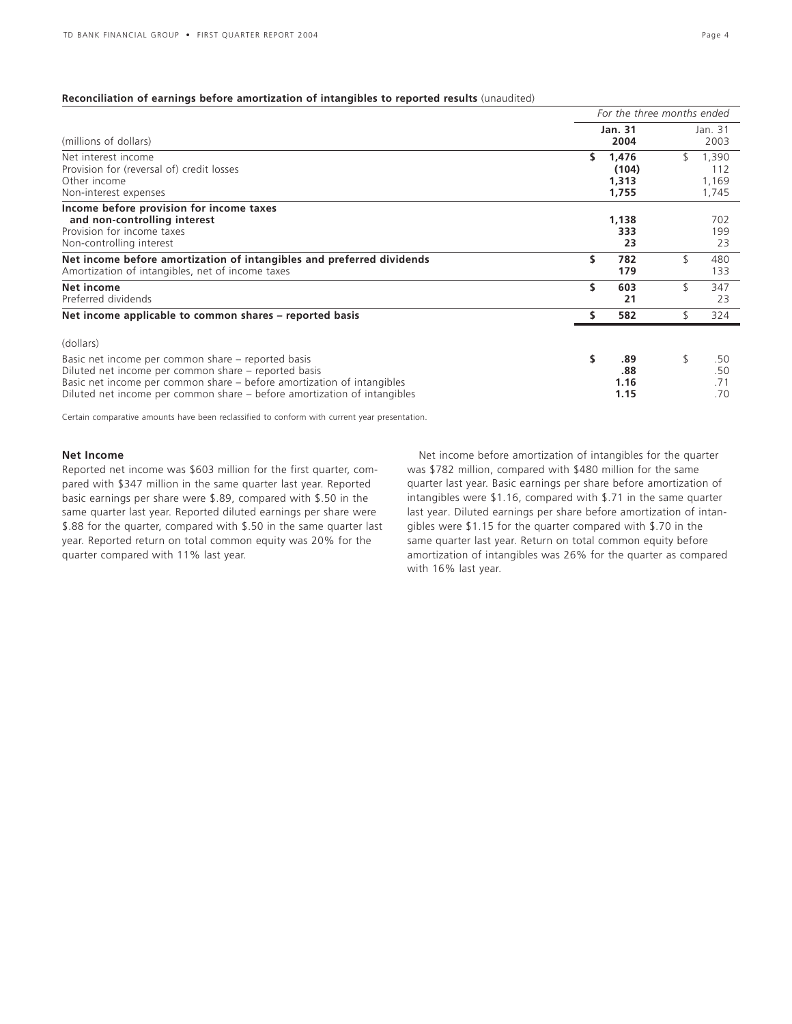### **Reconciliation of earnings before amortization of intangibles to reported results** (unaudited)

|                                                                                                                                                                                                                                                                  |    | For the three months ended       |     |                                |  |  |  |
|------------------------------------------------------------------------------------------------------------------------------------------------------------------------------------------------------------------------------------------------------------------|----|----------------------------------|-----|--------------------------------|--|--|--|
| (millions of dollars)                                                                                                                                                                                                                                            |    | <b>Jan. 31</b><br>2004           |     | Jan. 31<br>2003                |  |  |  |
| Net interest income<br>Provision for (reversal of) credit losses<br>Other income<br>Non-interest expenses                                                                                                                                                        | s  | 1.476<br>(104)<br>1,313<br>1,755 | \$. | 1,390<br>112<br>1,169<br>1,745 |  |  |  |
| Income before provision for income taxes<br>and non-controlling interest<br>Provision for income taxes<br>Non-controlling interest                                                                                                                               |    | 1,138<br>333<br>23               |     | 702<br>199<br>23               |  |  |  |
| Net income before amortization of intangibles and preferred dividends<br>Amortization of intangibles, net of income taxes                                                                                                                                        | \$ | 782<br>179                       |     | 480<br>133                     |  |  |  |
| Net income<br>Preferred dividends                                                                                                                                                                                                                                | \$ | 603<br>21                        |     | 347<br>23                      |  |  |  |
| Net income applicable to common shares – reported basis                                                                                                                                                                                                          |    | 582                              |     | 324                            |  |  |  |
| (dollars)                                                                                                                                                                                                                                                        |    |                                  |     |                                |  |  |  |
| Basic net income per common share - reported basis<br>Diluted net income per common share – reported basis<br>Basic net income per common share – before amortization of intangibles<br>Diluted net income per common share – before amortization of intangibles | s  | .89<br>.88<br>1.16<br>1.15       |     | .50<br>.50<br>.71<br>.70       |  |  |  |

Certain comparative amounts have been reclassified to conform with current year presentation.

### **Net Income**

Reported net income was \$603 million for the first quarter, compared with \$347 million in the same quarter last year. Reported basic earnings per share were \$.89, compared with \$.50 in the same quarter last year. Reported diluted earnings per share were \$.88 for the quarter, compared with \$.50 in the same quarter last year. Reported return on total common equity was 20% for the quarter compared with 11% last year.

Net income before amortization of intangibles for the quarter was \$782 million, compared with \$480 million for the same quarter last year. Basic earnings per share before amortization of intangibles were \$1.16, compared with \$.71 in the same quarter last year. Diluted earnings per share before amortization of intangibles were \$1.15 for the quarter compared with \$.70 in the same quarter last year. Return on total common equity before amortization of intangibles was 26% for the quarter as compared with 16% last year.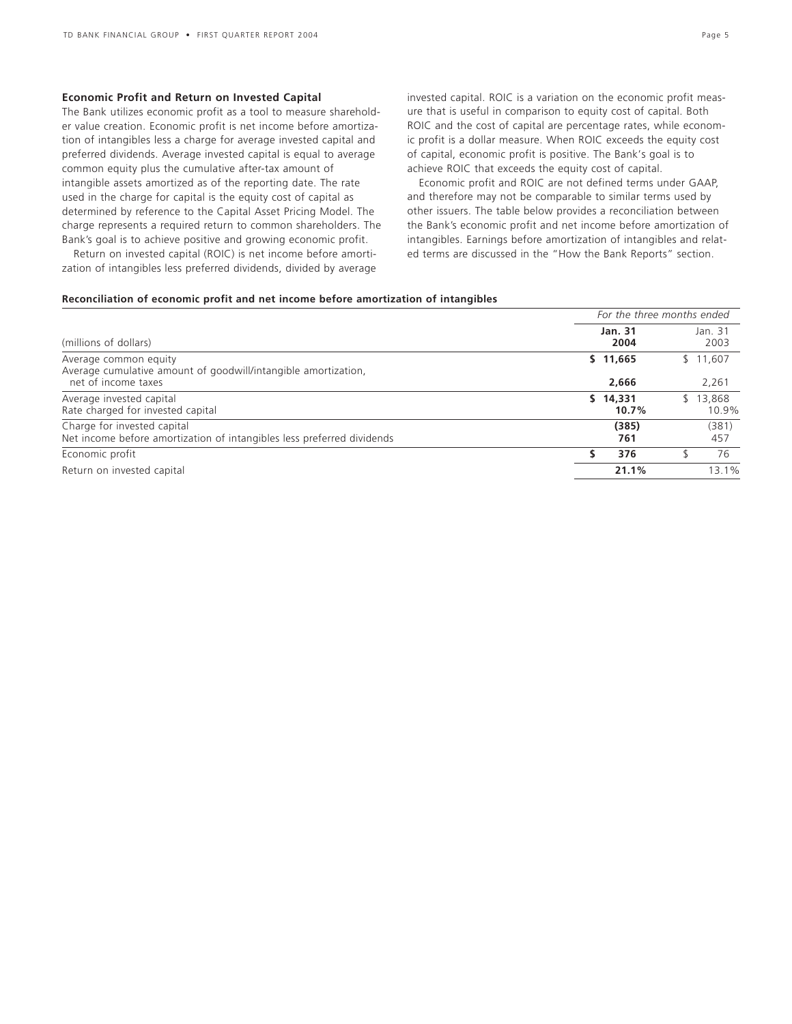### **Economic Profit and Return on Invested Capital**

The Bank utilizes economic profit as a tool to measure shareholder value creation. Economic profit is net income before amortization of intangibles less a charge for average invested capital and preferred dividends. Average invested capital is equal to average common equity plus the cumulative after-tax amount of intangible assets amortized as of the reporting date. The rate used in the charge for capital is the equity cost of capital as determined by reference to the Capital Asset Pricing Model. The charge represents a required return to common shareholders. The Bank's goal is to achieve positive and growing economic profit.

Return on invested capital (ROIC) is net income before amortization of intangibles less preferred dividends, divided by average invested capital. ROIC is a variation on the economic profit measure that is useful in comparison to equity cost of capital. Both ROIC and the cost of capital are percentage rates, while economic profit is a dollar measure. When ROIC exceeds the equity cost of capital, economic profit is positive. The Bank's goal is to achieve ROIC that exceeds the equity cost of capital.

Economic profit and ROIC are not defined terms under GAAP, and therefore may not be comparable to similar terms used by other issuers. The table below provides a reconciliation between the Bank's economic profit and net income before amortization of intangibles. Earnings before amortization of intangibles and related terms are discussed in the "How the Bank Reports" section.

### **Reconciliation of economic profit and net income before amortization of intangibles**

|                                                                                                                | For the three months ended |                       |  |  |  |  |  |
|----------------------------------------------------------------------------------------------------------------|----------------------------|-----------------------|--|--|--|--|--|
| (millions of dollars)                                                                                          | <b>Jan. 31</b><br>2004     | Jan. 31<br>2003       |  |  |  |  |  |
| Average common equity<br>Average cumulative amount of goodwill/intangible amortization,<br>net of income taxes | \$11,665<br>2,666          | \$11,607<br>2,261     |  |  |  |  |  |
| Average invested capital<br>Rate charged for invested capital                                                  | \$14.331<br>10.7%          | 13,868<br>S.<br>10.9% |  |  |  |  |  |
| Charge for invested capital<br>Net income before amortization of intangibles less preferred dividends          | (385)<br>761               | (381)<br>457          |  |  |  |  |  |
| Economic profit                                                                                                | 376                        | 76                    |  |  |  |  |  |
| Return on invested capital                                                                                     | 21.1%                      | 13.1%                 |  |  |  |  |  |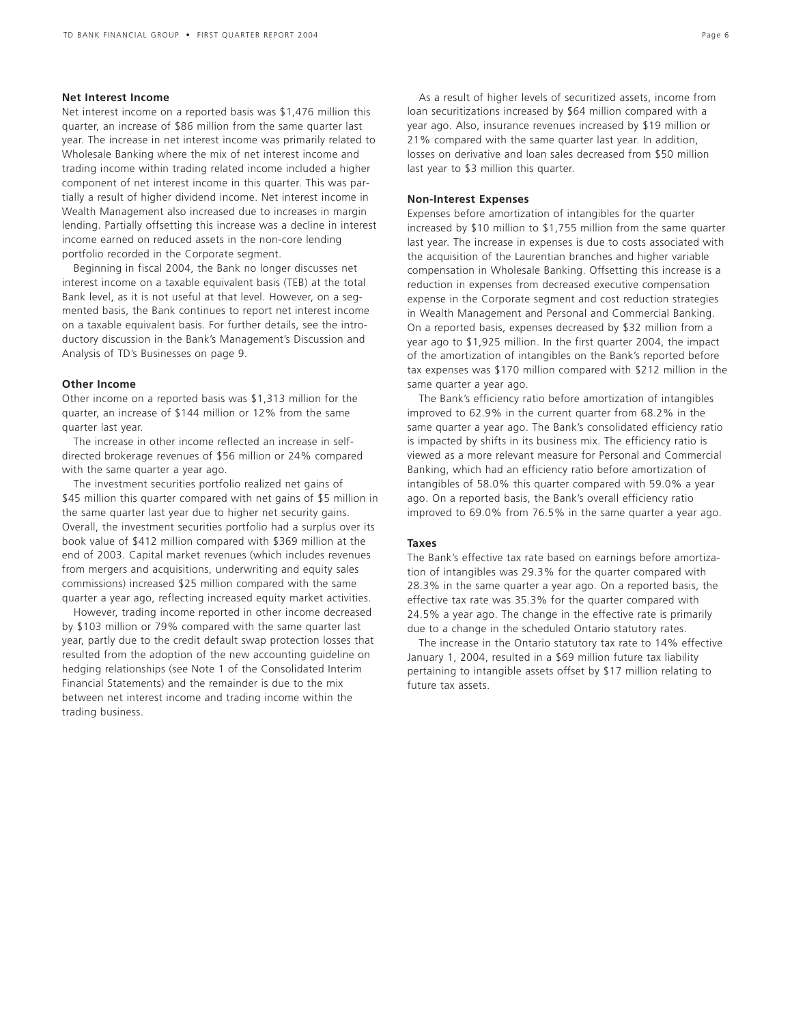### **Net Interest Income**

Net interest income on a reported basis was \$1,476 million this quarter, an increase of \$86 million from the same quarter last year. The increase in net interest income was primarily related to Wholesale Banking where the mix of net interest income and trading income within trading related income included a higher component of net interest income in this quarter. This was partially a result of higher dividend income. Net interest income in Wealth Management also increased due to increases in margin lending. Partially offsetting this increase was a decline in interest income earned on reduced assets in the non-core lending portfolio recorded in the Corporate segment.

Beginning in fiscal 2004, the Bank no longer discusses net interest income on a taxable equivalent basis (TEB) at the total Bank level, as it is not useful at that level. However, on a segmented basis, the Bank continues to report net interest income on a taxable equivalent basis. For further details, see the introductory discussion in the Bank's Management's Discussion and Analysis of TD's Businesses on page 9.

### **Other Income**

Other income on a reported basis was \$1,313 million for the quarter, an increase of \$144 million or 12% from the same quarter last year.

The increase in other income reflected an increase in selfdirected brokerage revenues of \$56 million or 24% compared with the same quarter a year ago.

The investment securities portfolio realized net gains of \$45 million this quarter compared with net gains of \$5 million in the same quarter last year due to higher net security gains. Overall, the investment securities portfolio had a surplus over its book value of \$412 million compared with \$369 million at the end of 2003. Capital market revenues (which includes revenues from mergers and acquisitions, underwriting and equity sales commissions) increased \$25 million compared with the same quarter a year ago, reflecting increased equity market activities.

However, trading income reported in other income decreased by \$103 million or 79% compared with the same quarter last year, partly due to the credit default swap protection losses that resulted from the adoption of the new accounting guideline on hedging relationships (see Note 1 of the Consolidated Interim Financial Statements) and the remainder is due to the mix between net interest income and trading income within the trading business.

As a result of higher levels of securitized assets, income from loan securitizations increased by \$64 million compared with a year ago. Also, insurance revenues increased by \$19 million or 21% compared with the same quarter last year. In addition, losses on derivative and loan sales decreased from \$50 million last year to \$3 million this quarter.

### **Non-Interest Expenses**

Expenses before amortization of intangibles for the quarter increased by \$10 million to \$1,755 million from the same quarter last year. The increase in expenses is due to costs associated with the acquisition of the Laurentian branches and higher variable compensation in Wholesale Banking. Offsetting this increase is a reduction in expenses from decreased executive compensation expense in the Corporate segment and cost reduction strategies in Wealth Management and Personal and Commercial Banking. On a reported basis, expenses decreased by \$32 million from a year ago to \$1,925 million. In the first quarter 2004, the impact of the amortization of intangibles on the Bank's reported before tax expenses was \$170 million compared with \$212 million in the same quarter a year ago.

The Bank's efficiency ratio before amortization of intangibles improved to 62.9% in the current quarter from 68.2% in the same quarter a year ago. The Bank's consolidated efficiency ratio is impacted by shifts in its business mix. The efficiency ratio is viewed as a more relevant measure for Personal and Commercial Banking, which had an efficiency ratio before amortization of intangibles of 58.0% this quarter compared with 59.0% a year ago. On a reported basis, the Bank's overall efficiency ratio improved to 69.0% from 76.5% in the same quarter a year ago.

### **Taxes**

The Bank's effective tax rate based on earnings before amortization of intangibles was 29.3% for the quarter compared with 28.3% in the same quarter a year ago. On a reported basis, the effective tax rate was 35.3% for the quarter compared with 24.5% a year ago. The change in the effective rate is primarily due to a change in the scheduled Ontario statutory rates.

The increase in the Ontario statutory tax rate to 14% effective January 1, 2004, resulted in a \$69 million future tax liability pertaining to intangible assets offset by \$17 million relating to future tax assets.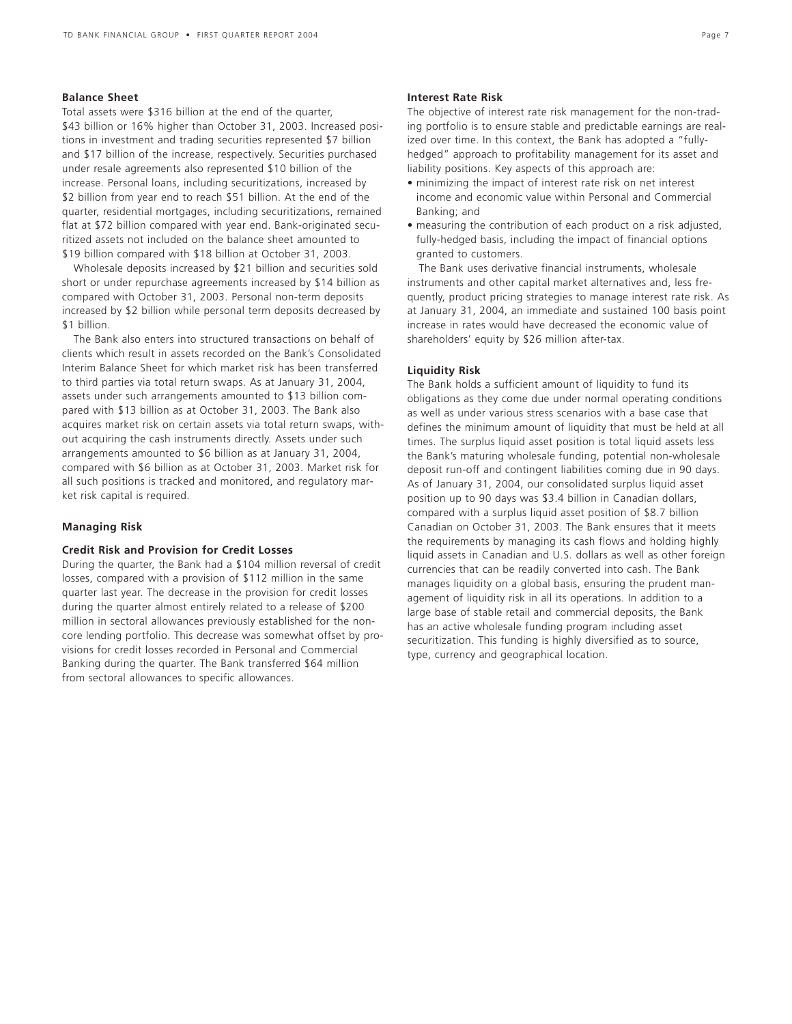### **Balance Sheet**

Total assets were \$316 billion at the end of the quarter, \$43 billion or 16% higher than October 31, 2003. Increased positions in investment and trading securities represented \$7 billion and \$17 billion of the increase, respectively. Securities purchased under resale agreements also represented \$10 billion of the increase. Personal loans, including securitizations, increased by \$2 billion from year end to reach \$51 billion. At the end of the quarter, residential mortgages, including securitizations, remained flat at \$72 billion compared with year end. Bank-originated securitized assets not included on the balance sheet amounted to \$19 billion compared with \$18 billion at October 31, 2003.

Wholesale deposits increased by \$21 billion and securities sold short or under repurchase agreements increased by \$14 billion as compared with October 31, 2003. Personal non-term deposits increased by \$2 billion while personal term deposits decreased by \$1 billion.

The Bank also enters into structured transactions on behalf of clients which result in assets recorded on the Bank's Consolidated Interim Balance Sheet for which market risk has been transferred to third parties via total return swaps. As at January 31, 2004, assets under such arrangements amounted to \$13 billion compared with \$13 billion as at October 31, 2003. The Bank also acquires market risk on certain assets via total return swaps, without acquiring the cash instruments directly. Assets under such arrangements amounted to \$6 billion as at January 31, 2004, compared with \$6 billion as at October 31, 2003. Market risk for all such positions is tracked and monitored, and regulatory market risk capital is required.

### **Managing Risk**

### **Credit Risk and Provision for Credit Losses**

During the quarter, the Bank had a \$104 million reversal of credit losses, compared with a provision of \$112 million in the same quarter last year. The decrease in the provision for credit losses during the quarter almost entirely related to a release of \$200 million in sectoral allowances previously established for the noncore lending portfolio. This decrease was somewhat offset by provisions for credit losses recorded in Personal and Commercial Banking during the quarter. The Bank transferred \$64 million from sectoral allowances to specific allowances.

### **Interest Rate Risk**

The objective of interest rate risk management for the non-trading portfolio is to ensure stable and predictable earnings are realized over time. In this context, the Bank has adopted a "fullyhedged" approach to profitability management for its asset and liability positions. Key aspects of this approach are:

- minimizing the impact of interest rate risk on net interest income and economic value within Personal and Commercial Banking; and
- measuring the contribution of each product on a risk adjusted, fully-hedged basis, including the impact of financial options granted to customers.

The Bank uses derivative financial instruments, wholesale instruments and other capital market alternatives and, less frequently, product pricing strategies to manage interest rate risk. As at January 31, 2004, an immediate and sustained 100 basis point increase in rates would have decreased the economic value of shareholders' equity by \$26 million after-tax.

### **Liquidity Risk**

The Bank holds a sufficient amount of liquidity to fund its obligations as they come due under normal operating conditions as well as under various stress scenarios with a base case that defines the minimum amount of liquidity that must be held at all times. The surplus liquid asset position is total liquid assets less the Bank's maturing wholesale funding, potential non-wholesale deposit run-off and contingent liabilities coming due in 90 days. As of January 31, 2004, our consolidated surplus liquid asset position up to 90 days was \$3.4 billion in Canadian dollars, compared with a surplus liquid asset position of \$8.7 billion Canadian on October 31, 2003. The Bank ensures that it meets the requirements by managing its cash flows and holding highly liquid assets in Canadian and U.S. dollars as well as other foreign currencies that can be readily converted into cash. The Bank manages liquidity on a global basis, ensuring the prudent management of liquidity risk in all its operations. In addition to a large base of stable retail and commercial deposits, the Bank has an active wholesale funding program including asset securitization. This funding is highly diversified as to source, type, currency and geographical location.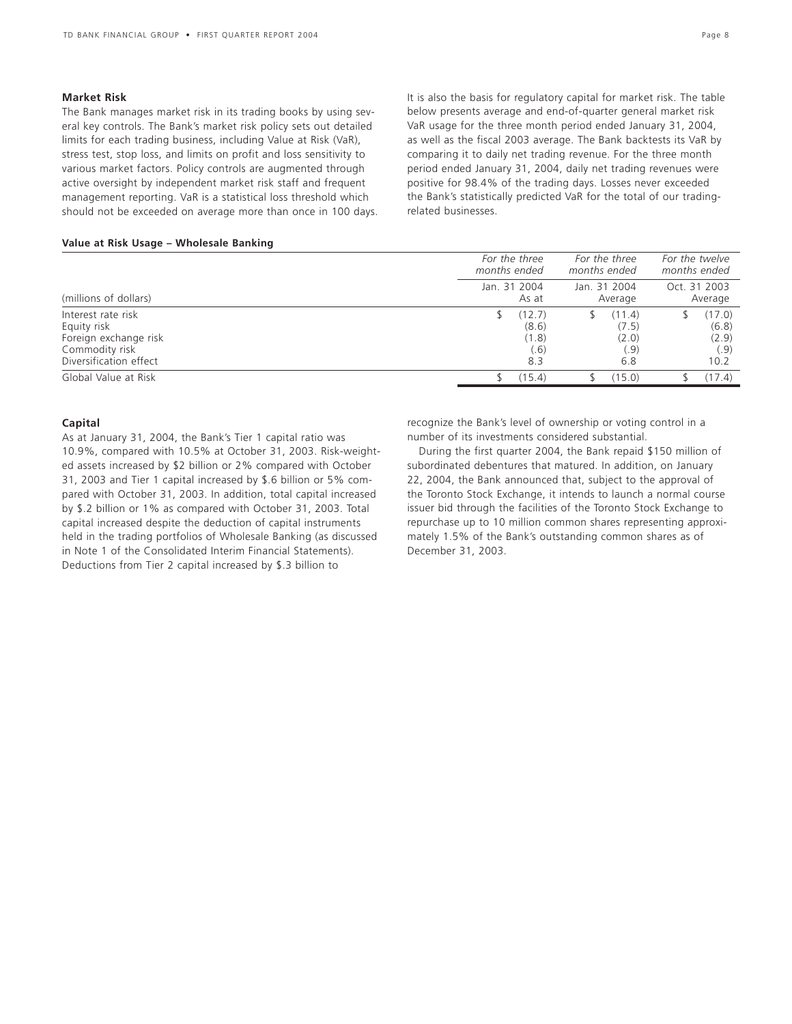### **Market Risk**

The Bank manages market risk in its trading books by using several key controls. The Bank's market risk policy sets out detailed limits for each trading business, including Value at Risk (VaR), stress test, stop loss, and limits on profit and loss sensitivity to various market factors. Policy controls are augmented through active oversight by independent market risk staff and frequent management reporting. VaR is a statistical loss threshold which should not be exceeded on average more than once in 100 days. It is also the basis for regulatory capital for market risk. The table below presents average and end-of-quarter general market risk VaR usage for the three month period ended January 31, 2004, as well as the fiscal 2003 average. The Bank backtests its VaR by comparing it to daily net trading revenue. For the three month period ended January 31, 2004, daily net trading revenues were positive for 98.4% of the trading days. Losses never exceeded the Bank's statistically predicted VaR for the total of our tradingrelated businesses.

### **Value at Risk Usage – Wholesale Banking**

|                        | For the three<br>months ended | For the three<br>months ended | For the twelve<br>months ended |  |  |
|------------------------|-------------------------------|-------------------------------|--------------------------------|--|--|
| (millions of dollars)  | Jan. 31 2004<br>As at         | Jan. 31 2004<br>Average       | Oct. 31 2003<br>Average        |  |  |
| Interest rate risk     | (12.7)                        | (11.4)                        | (17.0)                         |  |  |
| Equity risk            | (8.6)                         | (7.5)                         | (6.8)                          |  |  |
| Foreign exchange risk  | (1.8)                         | (2.0)                         | (2.9)                          |  |  |
| Commodity risk         | (.6)                          | .9)                           | (.9)                           |  |  |
| Diversification effect | 8.3                           | 6.8                           | 10.2                           |  |  |
| Global Value at Risk   | (15.4)                        | (15.0)                        | (17.4)                         |  |  |

### **Capital**

As at January 31, 2004, the Bank's Tier 1 capital ratio was 10.9%, compared with 10.5% at October 31, 2003. Risk-weighted assets increased by \$2 billion or 2% compared with October 31, 2003 and Tier 1 capital increased by \$.6 billion or 5% compared with October 31, 2003. In addition, total capital increased by \$.2 billion or 1% as compared with October 31, 2003. Total capital increased despite the deduction of capital instruments held in the trading portfolios of Wholesale Banking (as discussed in Note 1 of the Consolidated Interim Financial Statements). Deductions from Tier 2 capital increased by \$.3 billion to

recognize the Bank's level of ownership or voting control in a number of its investments considered substantial.

During the first quarter 2004, the Bank repaid \$150 million of subordinated debentures that matured. In addition, on January 22, 2004, the Bank announced that, subject to the approval of the Toronto Stock Exchange, it intends to launch a normal course issuer bid through the facilities of the Toronto Stock Exchange to repurchase up to 10 million common shares representing approximately 1.5% of the Bank's outstanding common shares as of December 31, 2003.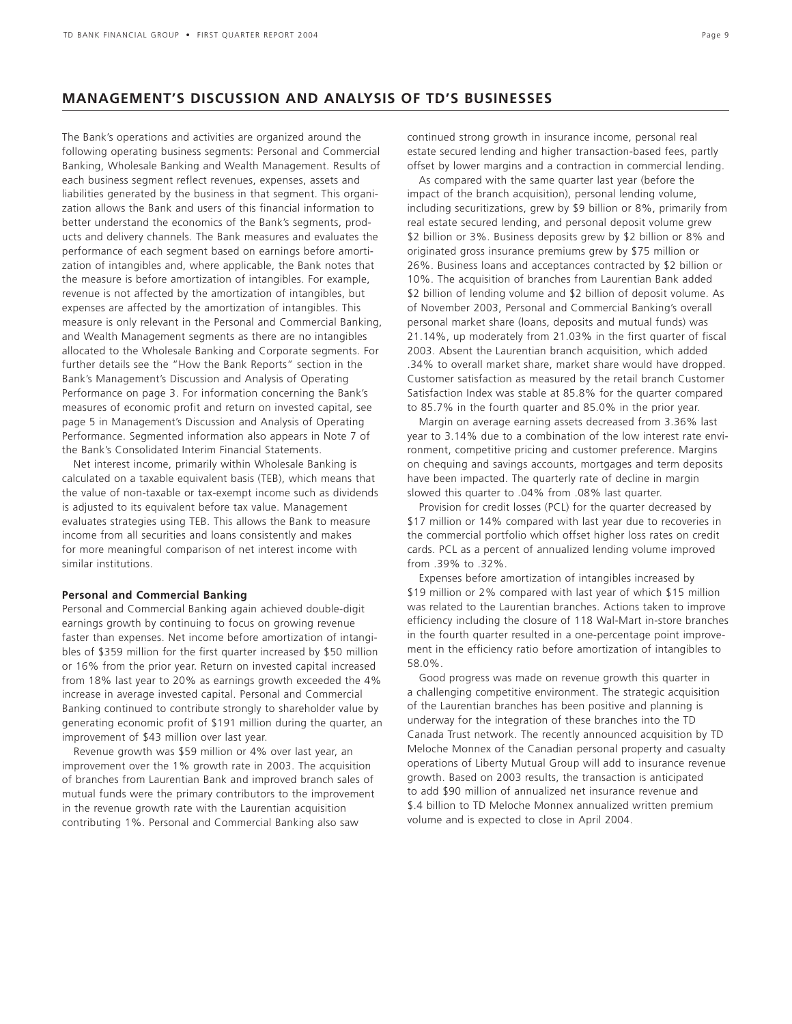### **MANAGEMENT'S DISCUSSION AND ANALYSIS OF TD'S BUSINESSES**

The Bank's operations and activities are organized around the following operating business segments: Personal and Commercial Banking, Wholesale Banking and Wealth Management. Results of each business segment reflect revenues, expenses, assets and liabilities generated by the business in that segment. This organization allows the Bank and users of this financial information to better understand the economics of the Bank's segments, products and delivery channels. The Bank measures and evaluates the performance of each segment based on earnings before amortization of intangibles and, where applicable, the Bank notes that the measure is before amortization of intangibles. For example, revenue is not affected by the amortization of intangibles, but expenses are affected by the amortization of intangibles. This measure is only relevant in the Personal and Commercial Banking, and Wealth Management segments as there are no intangibles allocated to the Wholesale Banking and Corporate segments. For further details see the "How the Bank Reports" section in the Bank's Management's Discussion and Analysis of Operating Performance on page 3. For information concerning the Bank's measures of economic profit and return on invested capital, see page 5 in Management's Discussion and Analysis of Operating Performance. Segmented information also appears in Note 7 of the Bank's Consolidated Interim Financial Statements.

Net interest income, primarily within Wholesale Banking is calculated on a taxable equivalent basis (TEB), which means that the value of non-taxable or tax-exempt income such as dividends is adjusted to its equivalent before tax value. Management evaluates strategies using TEB. This allows the Bank to measure income from all securities and loans consistently and makes for more meaningful comparison of net interest income with similar institutions.

### **Personal and Commercial Banking**

Personal and Commercial Banking again achieved double-digit earnings growth by continuing to focus on growing revenue faster than expenses. Net income before amortization of intangibles of \$359 million for the first quarter increased by \$50 million or 16% from the prior year. Return on invested capital increased from 18% last year to 20% as earnings growth exceeded the 4% increase in average invested capital. Personal and Commercial Banking continued to contribute strongly to shareholder value by generating economic profit of \$191 million during the quarter, an improvement of \$43 million over last year.

Revenue growth was \$59 million or 4% over last year, an improvement over the 1% growth rate in 2003. The acquisition of branches from Laurentian Bank and improved branch sales of mutual funds were the primary contributors to the improvement in the revenue growth rate with the Laurentian acquisition contributing 1%. Personal and Commercial Banking also saw

continued strong growth in insurance income, personal real estate secured lending and higher transaction-based fees, partly offset by lower margins and a contraction in commercial lending.

As compared with the same quarter last year (before the impact of the branch acquisition), personal lending volume, including securitizations, grew by \$9 billion or 8%, primarily from real estate secured lending, and personal deposit volume grew \$2 billion or 3%. Business deposits grew by \$2 billion or 8% and originated gross insurance premiums grew by \$75 million or 26%. Business loans and acceptances contracted by \$2 billion or 10%. The acquisition of branches from Laurentian Bank added \$2 billion of lending volume and \$2 billion of deposit volume. As of November 2003, Personal and Commercial Banking's overall personal market share (loans, deposits and mutual funds) was 21.14%, up moderately from 21.03% in the first quarter of fiscal 2003. Absent the Laurentian branch acquisition, which added .34% to overall market share, market share would have dropped. Customer satisfaction as measured by the retail branch Customer Satisfaction Index was stable at 85.8% for the quarter compared to 85.7% in the fourth quarter and 85.0% in the prior year.

Margin on average earning assets decreased from 3.36% last year to 3.14% due to a combination of the low interest rate environment, competitive pricing and customer preference. Margins on chequing and savings accounts, mortgages and term deposits have been impacted. The quarterly rate of decline in margin slowed this quarter to .04% from .08% last quarter.

Provision for credit losses (PCL) for the quarter decreased by \$17 million or 14% compared with last year due to recoveries in the commercial portfolio which offset higher loss rates on credit cards. PCL as a percent of annualized lending volume improved from .39% to .32%.

Expenses before amortization of intangibles increased by \$19 million or 2% compared with last year of which \$15 million was related to the Laurentian branches. Actions taken to improve efficiency including the closure of 118 Wal-Mart in-store branches in the fourth quarter resulted in a one-percentage point improvement in the efficiency ratio before amortization of intangibles to 58.0%.

Good progress was made on revenue growth this quarter in a challenging competitive environment. The strategic acquisition of the Laurentian branches has been positive and planning is underway for the integration of these branches into the TD Canada Trust network. The recently announced acquisition by TD Meloche Monnex of the Canadian personal property and casualty operations of Liberty Mutual Group will add to insurance revenue growth. Based on 2003 results, the transaction is anticipated to add \$90 million of annualized net insurance revenue and \$.4 billion to TD Meloche Monnex annualized written premium volume and is expected to close in April 2004.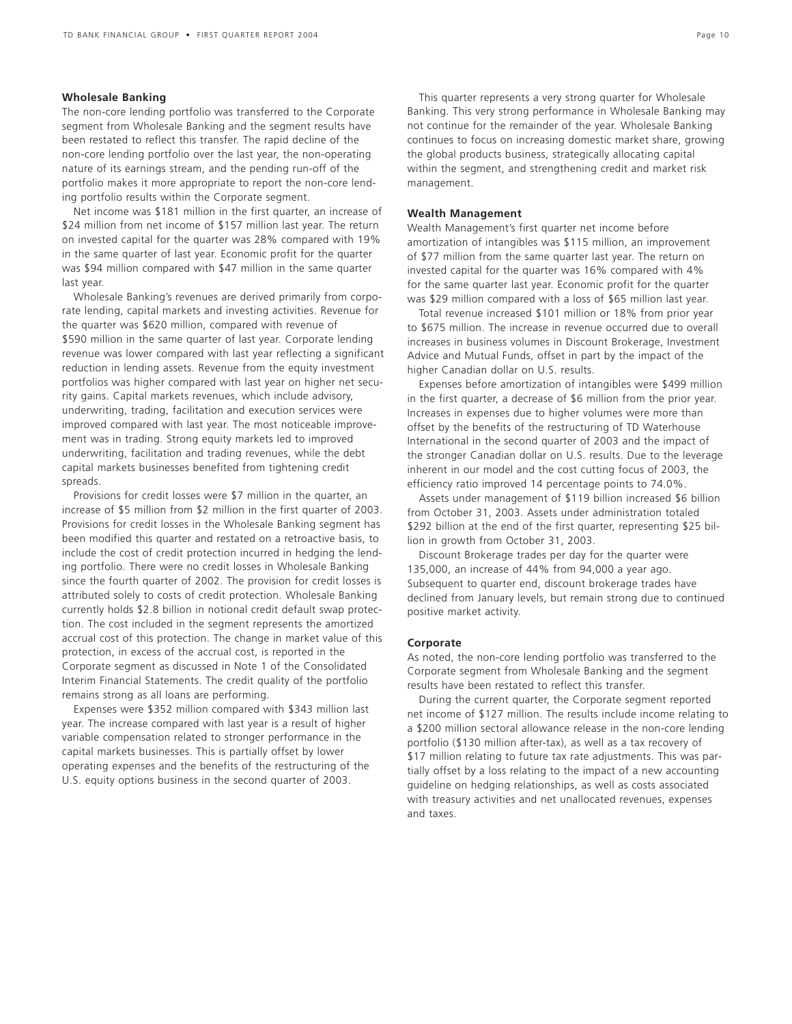### **Wholesale Banking**

The non-core lending portfolio was transferred to the Corporate segment from Wholesale Banking and the segment results have been restated to reflect this transfer. The rapid decline of the non-core lending portfolio over the last year, the non-operating nature of its earnings stream, and the pending run-off of the portfolio makes it more appropriate to report the non-core lending portfolio results within the Corporate segment.

Net income was \$181 million in the first quarter, an increase of \$24 million from net income of \$157 million last year. The return on invested capital for the quarter was 28% compared with 19% in the same quarter of last year. Economic profit for the quarter was \$94 million compared with \$47 million in the same quarter last year.

Wholesale Banking's revenues are derived primarily from corporate lending, capital markets and investing activities. Revenue for the quarter was \$620 million, compared with revenue of \$590 million in the same quarter of last year. Corporate lending revenue was lower compared with last year reflecting a significant reduction in lending assets. Revenue from the equity investment portfolios was higher compared with last year on higher net security gains. Capital markets revenues, which include advisory, underwriting, trading, facilitation and execution services were improved compared with last year. The most noticeable improvement was in trading. Strong equity markets led to improved underwriting, facilitation and trading revenues, while the debt capital markets businesses benefited from tightening credit spreads.

Provisions for credit losses were \$7 million in the quarter, an increase of \$5 million from \$2 million in the first quarter of 2003. Provisions for credit losses in the Wholesale Banking segment has been modified this quarter and restated on a retroactive basis, to include the cost of credit protection incurred in hedging the lending portfolio. There were no credit losses in Wholesale Banking since the fourth quarter of 2002. The provision for credit losses is attributed solely to costs of credit protection. Wholesale Banking currently holds \$2.8 billion in notional credit default swap protection. The cost included in the segment represents the amortized accrual cost of this protection. The change in market value of this protection, in excess of the accrual cost, is reported in the Corporate segment as discussed in Note 1 of the Consolidated Interim Financial Statements. The credit quality of the portfolio remains strong as all loans are performing.

Expenses were \$352 million compared with \$343 million last year. The increase compared with last year is a result of higher variable compensation related to stronger performance in the capital markets businesses. This is partially offset by lower operating expenses and the benefits of the restructuring of the U.S. equity options business in the second quarter of 2003.

This quarter represents a very strong quarter for Wholesale Banking. This very strong performance in Wholesale Banking may not continue for the remainder of the year. Wholesale Banking continues to focus on increasing domestic market share, growing the global products business, strategically allocating capital within the segment, and strengthening credit and market risk management.

### **Wealth Management**

Wealth Management's first quarter net income before amortization of intangibles was \$115 million, an improvement of \$77 million from the same quarter last year. The return on invested capital for the quarter was 16% compared with 4% for the same quarter last year. Economic profit for the quarter was \$29 million compared with a loss of \$65 million last year.

Total revenue increased \$101 million or 18% from prior year to \$675 million. The increase in revenue occurred due to overall increases in business volumes in Discount Brokerage, Investment Advice and Mutual Funds, offset in part by the impact of the higher Canadian dollar on U.S. results.

Expenses before amortization of intangibles were \$499 million in the first quarter, a decrease of \$6 million from the prior year. Increases in expenses due to higher volumes were more than offset by the benefits of the restructuring of TD Waterhouse International in the second quarter of 2003 and the impact of the stronger Canadian dollar on U.S. results. Due to the leverage inherent in our model and the cost cutting focus of 2003, the efficiency ratio improved 14 percentage points to 74.0%.

Assets under management of \$119 billion increased \$6 billion from October 31, 2003. Assets under administration totaled \$292 billion at the end of the first quarter, representing \$25 billion in growth from October 31, 2003.

Discount Brokerage trades per day for the quarter were 135,000, an increase of 44% from 94,000 a year ago. Subsequent to quarter end, discount brokerage trades have declined from January levels, but remain strong due to continued positive market activity.

### **Corporate**

As noted, the non-core lending portfolio was transferred to the Corporate segment from Wholesale Banking and the segment results have been restated to reflect this transfer.

During the current quarter, the Corporate segment reported net income of \$127 million. The results include income relating to a \$200 million sectoral allowance release in the non-core lending portfolio (\$130 million after-tax), as well as a tax recovery of \$17 million relating to future tax rate adjustments. This was partially offset by a loss relating to the impact of a new accounting guideline on hedging relationships, as well as costs associated with treasury activities and net unallocated revenues, expenses and taxes.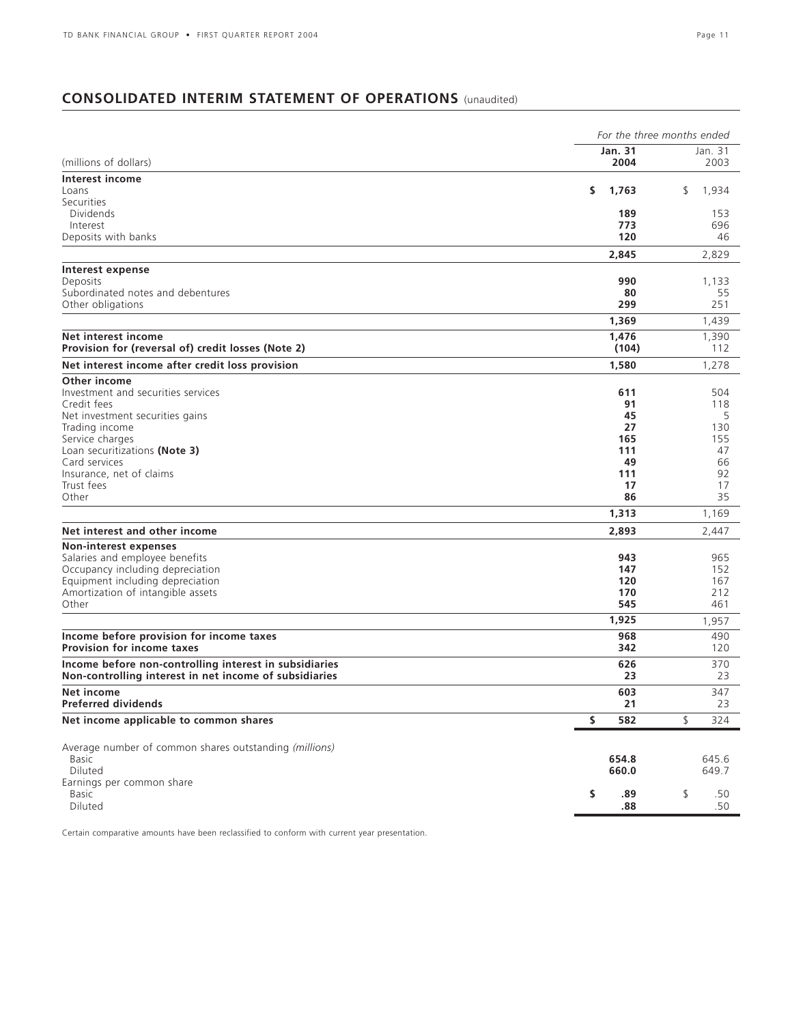### **CONSOLIDATED INTERIM STATEMENT OF OPERATIONS** (unaudited)

| <b>Jan. 31</b><br>Jan. 31<br>(millions of dollars)<br>2004<br>2003<br>Interest income<br>\$<br>1,763<br>\$<br>1,934<br>Loans<br>Securities<br>Dividends<br>189<br>153<br>773<br>696<br>Interest<br>Deposits with banks<br>120<br>46<br>2,845<br>2,829<br>Interest expense<br>990<br>Deposits<br>1,133<br>Subordinated notes and debentures<br>80<br>55<br>Other obligations<br>299<br>251<br>1,369<br>1,439<br>Net interest income<br>1,476<br>1,390<br>Provision for (reversal of) credit losses (Note 2)<br>(104)<br>112<br>1,278<br>Net interest income after credit loss provision<br>1,580<br>Other income<br>Investment and securities services<br>611<br>504<br>Credit fees<br>91<br>118<br>45<br>5<br>Net investment securities gains<br>27<br>130<br>Trading income<br>165<br>155<br>Service charges<br>Loan securitizations (Note 3)<br>111<br>47<br>Card services<br>49<br>66<br>Insurance, net of claims<br>111<br>92<br>Trust fees<br>17<br>17<br>Other<br>86<br>35<br>1,313<br>1,169<br>Net interest and other income<br>2,893<br>2,447<br>Non-interest expenses<br>Salaries and employee benefits<br>965<br>943<br>Occupancy including depreciation<br>147<br>152<br>Equipment including depreciation<br>120<br>167<br>Amortization of intangible assets<br>170<br>212<br>Other<br>545<br>461<br>1,925<br>1,957<br>Income before provision for income taxes<br>968<br>490<br><b>Provision for income taxes</b><br>342<br>120<br>370<br>626<br>Income before non-controlling interest in subsidiaries<br>Non-controlling interest in net income of subsidiaries<br>23<br>23<br>Net income<br>603<br>347<br>Preferred dividends<br>21<br>23<br>Net income applicable to common shares<br>\$<br>\$<br>582<br>324<br>Average number of common shares outstanding (millions)<br>645.6<br>654.8<br>Basic<br>Diluted<br>660.0<br>649.7<br>Earnings per common share<br>\$<br>\$<br>.89<br>.50<br>Basic<br>Diluted<br>.50<br>.88 | For the three months ended |  |  |  |  |  |
|-----------------------------------------------------------------------------------------------------------------------------------------------------------------------------------------------------------------------------------------------------------------------------------------------------------------------------------------------------------------------------------------------------------------------------------------------------------------------------------------------------------------------------------------------------------------------------------------------------------------------------------------------------------------------------------------------------------------------------------------------------------------------------------------------------------------------------------------------------------------------------------------------------------------------------------------------------------------------------------------------------------------------------------------------------------------------------------------------------------------------------------------------------------------------------------------------------------------------------------------------------------------------------------------------------------------------------------------------------------------------------------------------------------------------------------------------------------------------------------------------------------------------------------------------------------------------------------------------------------------------------------------------------------------------------------------------------------------------------------------------------------------------------------------------------------------------------------------------------------------------------------------------------------------------------------------|----------------------------|--|--|--|--|--|
|                                                                                                                                                                                                                                                                                                                                                                                                                                                                                                                                                                                                                                                                                                                                                                                                                                                                                                                                                                                                                                                                                                                                                                                                                                                                                                                                                                                                                                                                                                                                                                                                                                                                                                                                                                                                                                                                                                                                         |                            |  |  |  |  |  |
|                                                                                                                                                                                                                                                                                                                                                                                                                                                                                                                                                                                                                                                                                                                                                                                                                                                                                                                                                                                                                                                                                                                                                                                                                                                                                                                                                                                                                                                                                                                                                                                                                                                                                                                                                                                                                                                                                                                                         |                            |  |  |  |  |  |
|                                                                                                                                                                                                                                                                                                                                                                                                                                                                                                                                                                                                                                                                                                                                                                                                                                                                                                                                                                                                                                                                                                                                                                                                                                                                                                                                                                                                                                                                                                                                                                                                                                                                                                                                                                                                                                                                                                                                         |                            |  |  |  |  |  |
|                                                                                                                                                                                                                                                                                                                                                                                                                                                                                                                                                                                                                                                                                                                                                                                                                                                                                                                                                                                                                                                                                                                                                                                                                                                                                                                                                                                                                                                                                                                                                                                                                                                                                                                                                                                                                                                                                                                                         |                            |  |  |  |  |  |
|                                                                                                                                                                                                                                                                                                                                                                                                                                                                                                                                                                                                                                                                                                                                                                                                                                                                                                                                                                                                                                                                                                                                                                                                                                                                                                                                                                                                                                                                                                                                                                                                                                                                                                                                                                                                                                                                                                                                         |                            |  |  |  |  |  |
|                                                                                                                                                                                                                                                                                                                                                                                                                                                                                                                                                                                                                                                                                                                                                                                                                                                                                                                                                                                                                                                                                                                                                                                                                                                                                                                                                                                                                                                                                                                                                                                                                                                                                                                                                                                                                                                                                                                                         |                            |  |  |  |  |  |
|                                                                                                                                                                                                                                                                                                                                                                                                                                                                                                                                                                                                                                                                                                                                                                                                                                                                                                                                                                                                                                                                                                                                                                                                                                                                                                                                                                                                                                                                                                                                                                                                                                                                                                                                                                                                                                                                                                                                         |                            |  |  |  |  |  |
|                                                                                                                                                                                                                                                                                                                                                                                                                                                                                                                                                                                                                                                                                                                                                                                                                                                                                                                                                                                                                                                                                                                                                                                                                                                                                                                                                                                                                                                                                                                                                                                                                                                                                                                                                                                                                                                                                                                                         |                            |  |  |  |  |  |
|                                                                                                                                                                                                                                                                                                                                                                                                                                                                                                                                                                                                                                                                                                                                                                                                                                                                                                                                                                                                                                                                                                                                                                                                                                                                                                                                                                                                                                                                                                                                                                                                                                                                                                                                                                                                                                                                                                                                         |                            |  |  |  |  |  |
|                                                                                                                                                                                                                                                                                                                                                                                                                                                                                                                                                                                                                                                                                                                                                                                                                                                                                                                                                                                                                                                                                                                                                                                                                                                                                                                                                                                                                                                                                                                                                                                                                                                                                                                                                                                                                                                                                                                                         |                            |  |  |  |  |  |
|                                                                                                                                                                                                                                                                                                                                                                                                                                                                                                                                                                                                                                                                                                                                                                                                                                                                                                                                                                                                                                                                                                                                                                                                                                                                                                                                                                                                                                                                                                                                                                                                                                                                                                                                                                                                                                                                                                                                         |                            |  |  |  |  |  |
|                                                                                                                                                                                                                                                                                                                                                                                                                                                                                                                                                                                                                                                                                                                                                                                                                                                                                                                                                                                                                                                                                                                                                                                                                                                                                                                                                                                                                                                                                                                                                                                                                                                                                                                                                                                                                                                                                                                                         |                            |  |  |  |  |  |
|                                                                                                                                                                                                                                                                                                                                                                                                                                                                                                                                                                                                                                                                                                                                                                                                                                                                                                                                                                                                                                                                                                                                                                                                                                                                                                                                                                                                                                                                                                                                                                                                                                                                                                                                                                                                                                                                                                                                         |                            |  |  |  |  |  |
|                                                                                                                                                                                                                                                                                                                                                                                                                                                                                                                                                                                                                                                                                                                                                                                                                                                                                                                                                                                                                                                                                                                                                                                                                                                                                                                                                                                                                                                                                                                                                                                                                                                                                                                                                                                                                                                                                                                                         |                            |  |  |  |  |  |
|                                                                                                                                                                                                                                                                                                                                                                                                                                                                                                                                                                                                                                                                                                                                                                                                                                                                                                                                                                                                                                                                                                                                                                                                                                                                                                                                                                                                                                                                                                                                                                                                                                                                                                                                                                                                                                                                                                                                         |                            |  |  |  |  |  |
|                                                                                                                                                                                                                                                                                                                                                                                                                                                                                                                                                                                                                                                                                                                                                                                                                                                                                                                                                                                                                                                                                                                                                                                                                                                                                                                                                                                                                                                                                                                                                                                                                                                                                                                                                                                                                                                                                                                                         |                            |  |  |  |  |  |
|                                                                                                                                                                                                                                                                                                                                                                                                                                                                                                                                                                                                                                                                                                                                                                                                                                                                                                                                                                                                                                                                                                                                                                                                                                                                                                                                                                                                                                                                                                                                                                                                                                                                                                                                                                                                                                                                                                                                         |                            |  |  |  |  |  |
|                                                                                                                                                                                                                                                                                                                                                                                                                                                                                                                                                                                                                                                                                                                                                                                                                                                                                                                                                                                                                                                                                                                                                                                                                                                                                                                                                                                                                                                                                                                                                                                                                                                                                                                                                                                                                                                                                                                                         |                            |  |  |  |  |  |
|                                                                                                                                                                                                                                                                                                                                                                                                                                                                                                                                                                                                                                                                                                                                                                                                                                                                                                                                                                                                                                                                                                                                                                                                                                                                                                                                                                                                                                                                                                                                                                                                                                                                                                                                                                                                                                                                                                                                         |                            |  |  |  |  |  |
|                                                                                                                                                                                                                                                                                                                                                                                                                                                                                                                                                                                                                                                                                                                                                                                                                                                                                                                                                                                                                                                                                                                                                                                                                                                                                                                                                                                                                                                                                                                                                                                                                                                                                                                                                                                                                                                                                                                                         |                            |  |  |  |  |  |
|                                                                                                                                                                                                                                                                                                                                                                                                                                                                                                                                                                                                                                                                                                                                                                                                                                                                                                                                                                                                                                                                                                                                                                                                                                                                                                                                                                                                                                                                                                                                                                                                                                                                                                                                                                                                                                                                                                                                         |                            |  |  |  |  |  |
|                                                                                                                                                                                                                                                                                                                                                                                                                                                                                                                                                                                                                                                                                                                                                                                                                                                                                                                                                                                                                                                                                                                                                                                                                                                                                                                                                                                                                                                                                                                                                                                                                                                                                                                                                                                                                                                                                                                                         |                            |  |  |  |  |  |
|                                                                                                                                                                                                                                                                                                                                                                                                                                                                                                                                                                                                                                                                                                                                                                                                                                                                                                                                                                                                                                                                                                                                                                                                                                                                                                                                                                                                                                                                                                                                                                                                                                                                                                                                                                                                                                                                                                                                         |                            |  |  |  |  |  |
|                                                                                                                                                                                                                                                                                                                                                                                                                                                                                                                                                                                                                                                                                                                                                                                                                                                                                                                                                                                                                                                                                                                                                                                                                                                                                                                                                                                                                                                                                                                                                                                                                                                                                                                                                                                                                                                                                                                                         |                            |  |  |  |  |  |
|                                                                                                                                                                                                                                                                                                                                                                                                                                                                                                                                                                                                                                                                                                                                                                                                                                                                                                                                                                                                                                                                                                                                                                                                                                                                                                                                                                                                                                                                                                                                                                                                                                                                                                                                                                                                                                                                                                                                         |                            |  |  |  |  |  |
|                                                                                                                                                                                                                                                                                                                                                                                                                                                                                                                                                                                                                                                                                                                                                                                                                                                                                                                                                                                                                                                                                                                                                                                                                                                                                                                                                                                                                                                                                                                                                                                                                                                                                                                                                                                                                                                                                                                                         |                            |  |  |  |  |  |
|                                                                                                                                                                                                                                                                                                                                                                                                                                                                                                                                                                                                                                                                                                                                                                                                                                                                                                                                                                                                                                                                                                                                                                                                                                                                                                                                                                                                                                                                                                                                                                                                                                                                                                                                                                                                                                                                                                                                         |                            |  |  |  |  |  |
|                                                                                                                                                                                                                                                                                                                                                                                                                                                                                                                                                                                                                                                                                                                                                                                                                                                                                                                                                                                                                                                                                                                                                                                                                                                                                                                                                                                                                                                                                                                                                                                                                                                                                                                                                                                                                                                                                                                                         |                            |  |  |  |  |  |
|                                                                                                                                                                                                                                                                                                                                                                                                                                                                                                                                                                                                                                                                                                                                                                                                                                                                                                                                                                                                                                                                                                                                                                                                                                                                                                                                                                                                                                                                                                                                                                                                                                                                                                                                                                                                                                                                                                                                         |                            |  |  |  |  |  |
|                                                                                                                                                                                                                                                                                                                                                                                                                                                                                                                                                                                                                                                                                                                                                                                                                                                                                                                                                                                                                                                                                                                                                                                                                                                                                                                                                                                                                                                                                                                                                                                                                                                                                                                                                                                                                                                                                                                                         |                            |  |  |  |  |  |
|                                                                                                                                                                                                                                                                                                                                                                                                                                                                                                                                                                                                                                                                                                                                                                                                                                                                                                                                                                                                                                                                                                                                                                                                                                                                                                                                                                                                                                                                                                                                                                                                                                                                                                                                                                                                                                                                                                                                         |                            |  |  |  |  |  |
|                                                                                                                                                                                                                                                                                                                                                                                                                                                                                                                                                                                                                                                                                                                                                                                                                                                                                                                                                                                                                                                                                                                                                                                                                                                                                                                                                                                                                                                                                                                                                                                                                                                                                                                                                                                                                                                                                                                                         |                            |  |  |  |  |  |
|                                                                                                                                                                                                                                                                                                                                                                                                                                                                                                                                                                                                                                                                                                                                                                                                                                                                                                                                                                                                                                                                                                                                                                                                                                                                                                                                                                                                                                                                                                                                                                                                                                                                                                                                                                                                                                                                                                                                         |                            |  |  |  |  |  |
|                                                                                                                                                                                                                                                                                                                                                                                                                                                                                                                                                                                                                                                                                                                                                                                                                                                                                                                                                                                                                                                                                                                                                                                                                                                                                                                                                                                                                                                                                                                                                                                                                                                                                                                                                                                                                                                                                                                                         |                            |  |  |  |  |  |
|                                                                                                                                                                                                                                                                                                                                                                                                                                                                                                                                                                                                                                                                                                                                                                                                                                                                                                                                                                                                                                                                                                                                                                                                                                                                                                                                                                                                                                                                                                                                                                                                                                                                                                                                                                                                                                                                                                                                         |                            |  |  |  |  |  |
|                                                                                                                                                                                                                                                                                                                                                                                                                                                                                                                                                                                                                                                                                                                                                                                                                                                                                                                                                                                                                                                                                                                                                                                                                                                                                                                                                                                                                                                                                                                                                                                                                                                                                                                                                                                                                                                                                                                                         |                            |  |  |  |  |  |
|                                                                                                                                                                                                                                                                                                                                                                                                                                                                                                                                                                                                                                                                                                                                                                                                                                                                                                                                                                                                                                                                                                                                                                                                                                                                                                                                                                                                                                                                                                                                                                                                                                                                                                                                                                                                                                                                                                                                         |                            |  |  |  |  |  |
|                                                                                                                                                                                                                                                                                                                                                                                                                                                                                                                                                                                                                                                                                                                                                                                                                                                                                                                                                                                                                                                                                                                                                                                                                                                                                                                                                                                                                                                                                                                                                                                                                                                                                                                                                                                                                                                                                                                                         |                            |  |  |  |  |  |
|                                                                                                                                                                                                                                                                                                                                                                                                                                                                                                                                                                                                                                                                                                                                                                                                                                                                                                                                                                                                                                                                                                                                                                                                                                                                                                                                                                                                                                                                                                                                                                                                                                                                                                                                                                                                                                                                                                                                         |                            |  |  |  |  |  |
|                                                                                                                                                                                                                                                                                                                                                                                                                                                                                                                                                                                                                                                                                                                                                                                                                                                                                                                                                                                                                                                                                                                                                                                                                                                                                                                                                                                                                                                                                                                                                                                                                                                                                                                                                                                                                                                                                                                                         |                            |  |  |  |  |  |
|                                                                                                                                                                                                                                                                                                                                                                                                                                                                                                                                                                                                                                                                                                                                                                                                                                                                                                                                                                                                                                                                                                                                                                                                                                                                                                                                                                                                                                                                                                                                                                                                                                                                                                                                                                                                                                                                                                                                         |                            |  |  |  |  |  |
|                                                                                                                                                                                                                                                                                                                                                                                                                                                                                                                                                                                                                                                                                                                                                                                                                                                                                                                                                                                                                                                                                                                                                                                                                                                                                                                                                                                                                                                                                                                                                                                                                                                                                                                                                                                                                                                                                                                                         |                            |  |  |  |  |  |
|                                                                                                                                                                                                                                                                                                                                                                                                                                                                                                                                                                                                                                                                                                                                                                                                                                                                                                                                                                                                                                                                                                                                                                                                                                                                                                                                                                                                                                                                                                                                                                                                                                                                                                                                                                                                                                                                                                                                         |                            |  |  |  |  |  |
|                                                                                                                                                                                                                                                                                                                                                                                                                                                                                                                                                                                                                                                                                                                                                                                                                                                                                                                                                                                                                                                                                                                                                                                                                                                                                                                                                                                                                                                                                                                                                                                                                                                                                                                                                                                                                                                                                                                                         |                            |  |  |  |  |  |
|                                                                                                                                                                                                                                                                                                                                                                                                                                                                                                                                                                                                                                                                                                                                                                                                                                                                                                                                                                                                                                                                                                                                                                                                                                                                                                                                                                                                                                                                                                                                                                                                                                                                                                                                                                                                                                                                                                                                         |                            |  |  |  |  |  |
|                                                                                                                                                                                                                                                                                                                                                                                                                                                                                                                                                                                                                                                                                                                                                                                                                                                                                                                                                                                                                                                                                                                                                                                                                                                                                                                                                                                                                                                                                                                                                                                                                                                                                                                                                                                                                                                                                                                                         |                            |  |  |  |  |  |
|                                                                                                                                                                                                                                                                                                                                                                                                                                                                                                                                                                                                                                                                                                                                                                                                                                                                                                                                                                                                                                                                                                                                                                                                                                                                                                                                                                                                                                                                                                                                                                                                                                                                                                                                                                                                                                                                                                                                         |                            |  |  |  |  |  |

Certain comparative amounts have been reclassified to conform with current year presentation.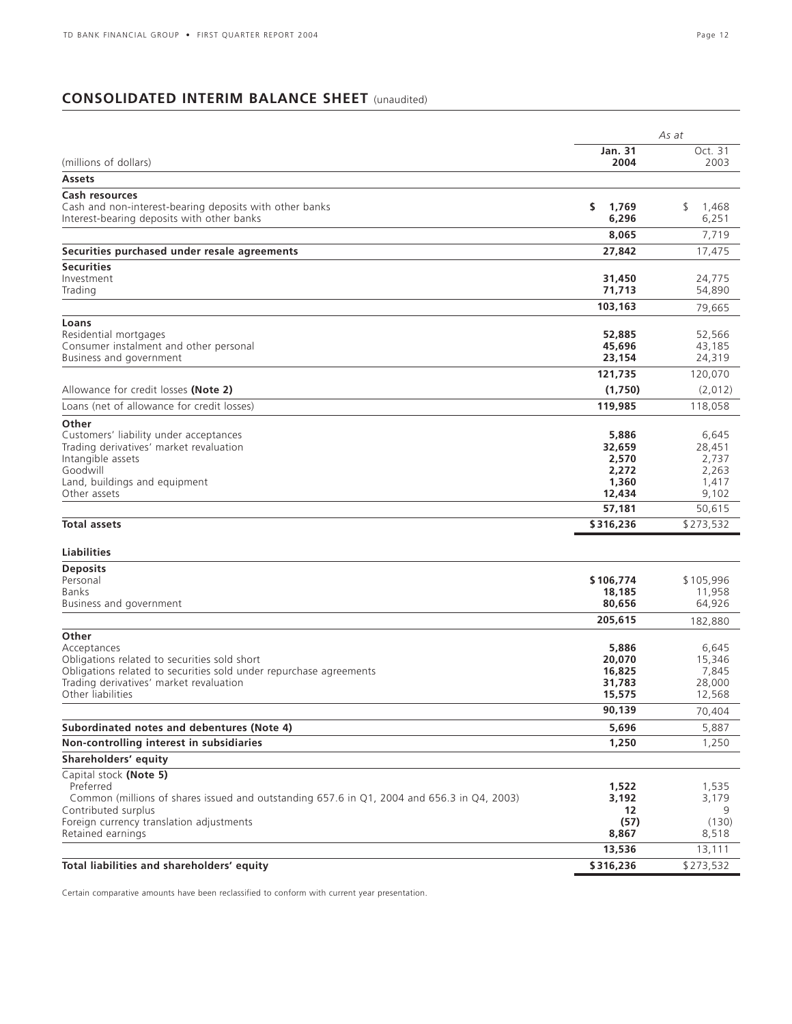### **CONSOLIDATED INTERIM BALANCE SHEET** (unaudited)

|                                                                                                                   |                  | As at            |
|-------------------------------------------------------------------------------------------------------------------|------------------|------------------|
|                                                                                                                   | <b>Jan. 31</b>   | Oct. 31          |
| (millions of dollars)                                                                                             | 2004             | 2003             |
| <b>Assets</b>                                                                                                     |                  |                  |
| Cash resources<br>Cash and non-interest-bearing deposits with other banks                                         | \$<br>1,769      | \$<br>1,468      |
| Interest-bearing deposits with other banks                                                                        | 6,296            | 6,251            |
|                                                                                                                   | 8,065            | 7,719            |
| Securities purchased under resale agreements                                                                      | 27,842           | 17,475           |
| <b>Securities</b>                                                                                                 |                  |                  |
| Investment                                                                                                        | 31,450           | 24,775           |
| Trading                                                                                                           | 71,713           | 54,890           |
|                                                                                                                   | 103,163          | 79,665           |
| Loans                                                                                                             |                  |                  |
| Residential mortgages                                                                                             | 52,885           | 52,566           |
| Consumer instalment and other personal<br>Business and government                                                 | 45,696<br>23,154 | 43,185<br>24,319 |
|                                                                                                                   |                  |                  |
| Allowance for credit losses (Note 2)                                                                              | 121,735          | 120,070          |
| Loans (net of allowance for credit losses)                                                                        | (1,750)          | (2,012)          |
|                                                                                                                   | 119,985          | 118,058          |
| Other<br>Customers' liability under acceptances                                                                   | 5,886            | 6,645            |
| Trading derivatives' market revaluation                                                                           | 32,659           | 28,451           |
| Intangible assets                                                                                                 | 2,570            | 2,737            |
| Goodwill                                                                                                          | 2,272            | 2,263            |
| Land, buildings and equipment                                                                                     | 1,360            | 1,417            |
| Other assets                                                                                                      | 12,434           | 9,102            |
|                                                                                                                   | 57,181           | 50,615           |
| <b>Total assets</b>                                                                                               | \$316,236        | \$273,532        |
| Liabilities                                                                                                       |                  |                  |
| <b>Deposits</b>                                                                                                   |                  |                  |
| Personal                                                                                                          | \$106,774        | \$105,996        |
| <b>Banks</b>                                                                                                      | 18,185           | 11,958           |
| Business and government                                                                                           | 80,656           | 64,926           |
|                                                                                                                   | 205,615          | 182,880          |
| Other                                                                                                             |                  |                  |
| Acceptances<br>Obligations related to securities sold short                                                       | 5,886<br>20,070  | 6,645<br>15,346  |
| Obligations related to securities sold under repurchase agreements                                                | 16,825           | 7,845            |
| Trading derivatives' market revaluation                                                                           | 31,783           | 28,000           |
| Other liabilities                                                                                                 | 15,575           | 12,568           |
|                                                                                                                   | 90,139           | 70,404           |
| Subordinated notes and debentures (Note 4)                                                                        | 5,696            | 5,887            |
| Non-controlling interest in subsidiaries                                                                          | 1,250            | 1,250            |
| Shareholders' equity                                                                                              |                  |                  |
| Capital stock (Note 5)                                                                                            |                  |                  |
| Preferred                                                                                                         | 1,522            | 1,535            |
| Common (millions of shares issued and outstanding 657.6 in Q1, 2004 and 656.3 in Q4, 2003)<br>Contributed surplus | 3,192<br>12      | 3,179            |
| Foreign currency translation adjustments                                                                          | (57)             | (130)            |
| Retained earnings                                                                                                 | 8,867            | 8,518            |
|                                                                                                                   | 13,536           | 13,111           |
| Total liabilities and shareholders' equity                                                                        | \$316,236        | \$273,532        |

Certain comparative amounts have been reclassified to conform with current year presentation.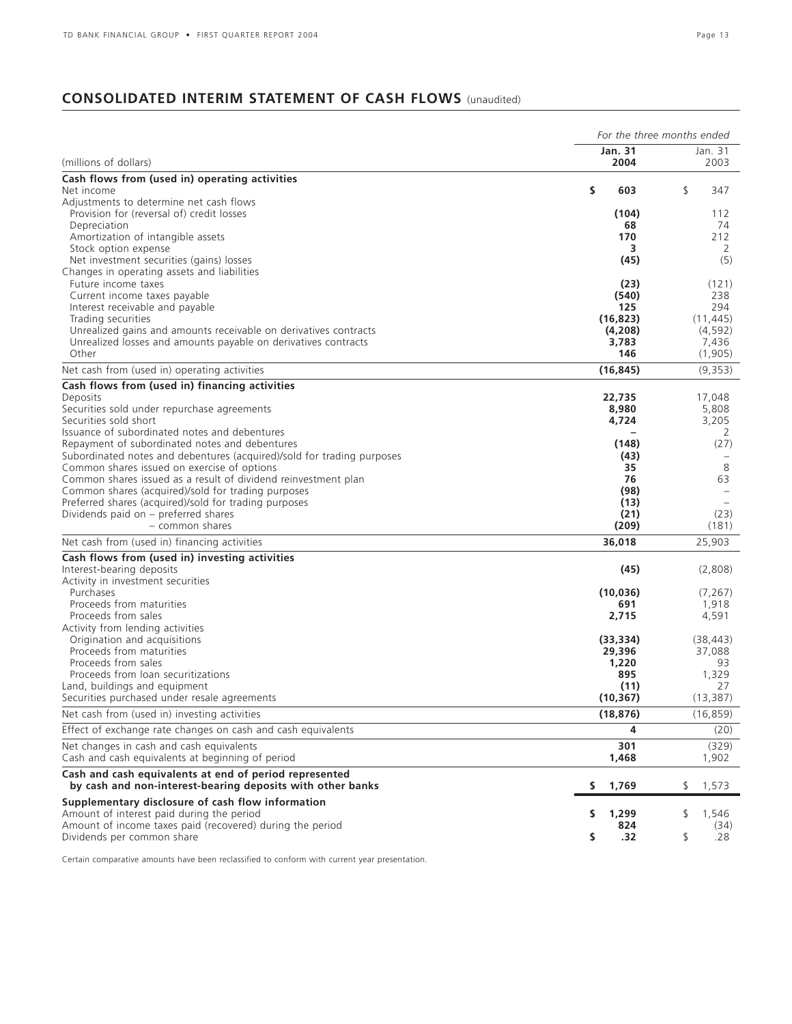### **CONSOLIDATED INTERIM STATEMENT OF CASH FLOWS** (unaudited)

|                                                                                                                          |                        | For the three months ended |  |  |  |  |
|--------------------------------------------------------------------------------------------------------------------------|------------------------|----------------------------|--|--|--|--|
| (millions of dollars)                                                                                                    | <b>Jan. 31</b><br>2004 | Jan. 31<br>2003            |  |  |  |  |
|                                                                                                                          |                        |                            |  |  |  |  |
| Cash flows from (used in) operating activities<br>Net income                                                             | Ŝ.<br>603              | \$<br>347                  |  |  |  |  |
| Adjustments to determine net cash flows                                                                                  |                        |                            |  |  |  |  |
| Provision for (reversal of) credit losses                                                                                | (104)                  | 112                        |  |  |  |  |
| Depreciation                                                                                                             | 68                     | 74                         |  |  |  |  |
| Amortization of intangible assets                                                                                        | 170                    | 212                        |  |  |  |  |
| Stock option expense<br>Net investment securities (gains) losses                                                         | 3<br>(45)              | 2<br>(5)                   |  |  |  |  |
| Changes in operating assets and liabilities                                                                              |                        |                            |  |  |  |  |
| Future income taxes                                                                                                      | (23)                   | (121)                      |  |  |  |  |
| Current income taxes payable                                                                                             | (540)                  | 238                        |  |  |  |  |
| Interest receivable and payable                                                                                          | 125                    | 294                        |  |  |  |  |
| Trading securities<br>Unrealized gains and amounts receivable on derivatives contracts                                   | (16, 823)<br>(4,208)   | (11, 445)<br>(4, 592)      |  |  |  |  |
| Unrealized losses and amounts payable on derivatives contracts                                                           | 3,783                  | 7,436                      |  |  |  |  |
| Other                                                                                                                    | 146                    | (1,905)                    |  |  |  |  |
| Net cash from (used in) operating activities                                                                             | (16, 845)              | (9,353)                    |  |  |  |  |
| Cash flows from (used in) financing activities                                                                           |                        |                            |  |  |  |  |
| Deposits                                                                                                                 | 22,735                 | 17,048                     |  |  |  |  |
| Securities sold under repurchase agreements                                                                              | 8,980                  | 5,808                      |  |  |  |  |
| Securities sold short                                                                                                    | 4,724                  | 3,205                      |  |  |  |  |
| Issuance of subordinated notes and debentures                                                                            |                        | 2                          |  |  |  |  |
| Repayment of subordinated notes and debentures<br>Subordinated notes and debentures (acquired)/sold for trading purposes | (148)<br>(43)          | (27)                       |  |  |  |  |
| Common shares issued on exercise of options                                                                              | 35                     | 8                          |  |  |  |  |
| Common shares issued as a result of dividend reinvestment plan                                                           | 76                     | 63                         |  |  |  |  |
| Common shares (acquired)/sold for trading purposes                                                                       | (98)                   |                            |  |  |  |  |
| Preferred shares (acquired)/sold for trading purposes                                                                    | (13)                   |                            |  |  |  |  |
| Dividends paid on - preferred shares<br>- common shares                                                                  | (21)                   | (23)                       |  |  |  |  |
|                                                                                                                          | (209)                  | (181)                      |  |  |  |  |
| Net cash from (used in) financing activities                                                                             | 36,018                 | 25,903                     |  |  |  |  |
| Cash flows from (used in) investing activities                                                                           |                        |                            |  |  |  |  |
| Interest-bearing deposits<br>Activity in investment securities                                                           | (45)                   | (2,808)                    |  |  |  |  |
| Purchases                                                                                                                | (10, 036)              | (7, 267)                   |  |  |  |  |
| Proceeds from maturities                                                                                                 | 691                    | 1,918                      |  |  |  |  |
| Proceeds from sales                                                                                                      | 2,715                  | 4,591                      |  |  |  |  |
| Activity from lending activities                                                                                         |                        |                            |  |  |  |  |
| Origination and acquisitions<br>Proceeds from maturities                                                                 | (33, 334)              | (38, 443)                  |  |  |  |  |
| Proceeds from sales                                                                                                      | 29,396<br>1,220        | 37,088<br>93               |  |  |  |  |
| Proceeds from loan securitizations                                                                                       | 895                    | 1,329                      |  |  |  |  |
| Land, buildings and equipment                                                                                            | (11)                   | 27                         |  |  |  |  |
| Securities purchased under resale agreements                                                                             | (10, 367)              | (13, 387)                  |  |  |  |  |
| Net cash from (used in) investing activities                                                                             | (18, 876)              | (16, 859)                  |  |  |  |  |
| Effect of exchange rate changes on cash and cash equivalents                                                             | 4                      | (20)                       |  |  |  |  |
| Net changes in cash and cash equivalents                                                                                 | 301                    | (329)                      |  |  |  |  |
| Cash and cash equivalents at beginning of period                                                                         | 1,468                  | 1,902                      |  |  |  |  |
| Cash and cash equivalents at end of period represented<br>by cash and non-interest-bearing deposits with other banks     | 1,769<br>s             | \$<br>1,573                |  |  |  |  |
| Supplementary disclosure of cash flow information                                                                        |                        |                            |  |  |  |  |
| Amount of interest paid during the period                                                                                | 1,299<br>\$            | \$<br>1,546                |  |  |  |  |
| Amount of income taxes paid (recovered) during the period                                                                | 824                    | (34)                       |  |  |  |  |
| Dividends per common share                                                                                               | \$<br>.32              | \$<br>.28                  |  |  |  |  |

Certain comparative amounts have been reclassified to conform with current year presentation.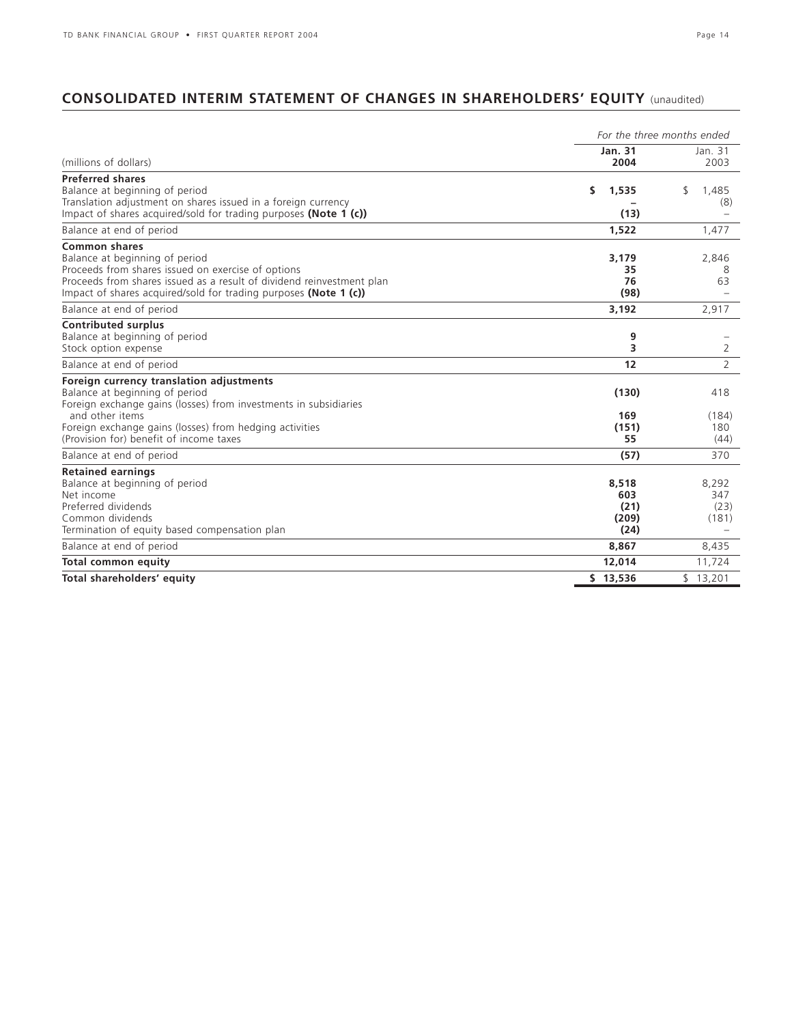### **CONSOLIDATED INTERIM STATEMENT OF CHANGES IN SHAREHOLDERS' EQUITY** (unaudited)

|                                                                                                                                                                                                                                                                         | For the three months ended            |                               |  |  |  |  |
|-------------------------------------------------------------------------------------------------------------------------------------------------------------------------------------------------------------------------------------------------------------------------|---------------------------------------|-------------------------------|--|--|--|--|
| (millions of dollars)                                                                                                                                                                                                                                                   | Jan. 31<br>2004                       | Jan. 31<br>2003               |  |  |  |  |
| <b>Preferred shares</b><br>Balance at beginning of period<br>Translation adjustment on shares issued in a foreign currency<br>Impact of shares acquired/sold for trading purposes (Note 1 (c))                                                                          | s.<br>1,535<br>(13)                   | \$.<br>1.485<br>(8)           |  |  |  |  |
| Balance at end of period                                                                                                                                                                                                                                                | 1,522                                 | 1,477                         |  |  |  |  |
| <b>Common shares</b><br>Balance at beginning of period<br>Proceeds from shares issued on exercise of options<br>Proceeds from shares issued as a result of dividend reinvestment plan<br>Impact of shares acquired/sold for trading purposes (Note 1 (c))               | 3,179<br>35<br>76<br>(98)             | 2,846<br>8<br>63              |  |  |  |  |
| Balance at end of period                                                                                                                                                                                                                                                | 3,192                                 | 2,917                         |  |  |  |  |
| <b>Contributed surplus</b><br>Balance at beginning of period<br>Stock option expense                                                                                                                                                                                    | 9<br>3                                | 2                             |  |  |  |  |
| Balance at end of period                                                                                                                                                                                                                                                | 12                                    | 2                             |  |  |  |  |
| Foreign currency translation adjustments<br>Balance at beginning of period<br>Foreign exchange gains (losses) from investments in subsidiaries<br>and other items<br>Foreign exchange gains (losses) from hedging activities<br>(Provision for) benefit of income taxes | (130)<br>169<br>(151)<br>55           | 418<br>(184)<br>180<br>(44)   |  |  |  |  |
| Balance at end of period                                                                                                                                                                                                                                                | (57)                                  | 370                           |  |  |  |  |
| <b>Retained earnings</b><br>Balance at beginning of period<br>Net income<br>Preferred dividends<br>Common dividends<br>Termination of equity based compensation plan                                                                                                    | 8,518<br>603<br>(21)<br>(209)<br>(24) | 8,292<br>347<br>(23)<br>(181) |  |  |  |  |
| Balance at end of period                                                                                                                                                                                                                                                | 8,867                                 | 8,435                         |  |  |  |  |
| <b>Total common equity</b>                                                                                                                                                                                                                                              | 12,014                                | 11,724                        |  |  |  |  |
| Total shareholders' equity                                                                                                                                                                                                                                              | \$13,536                              | \$13,201                      |  |  |  |  |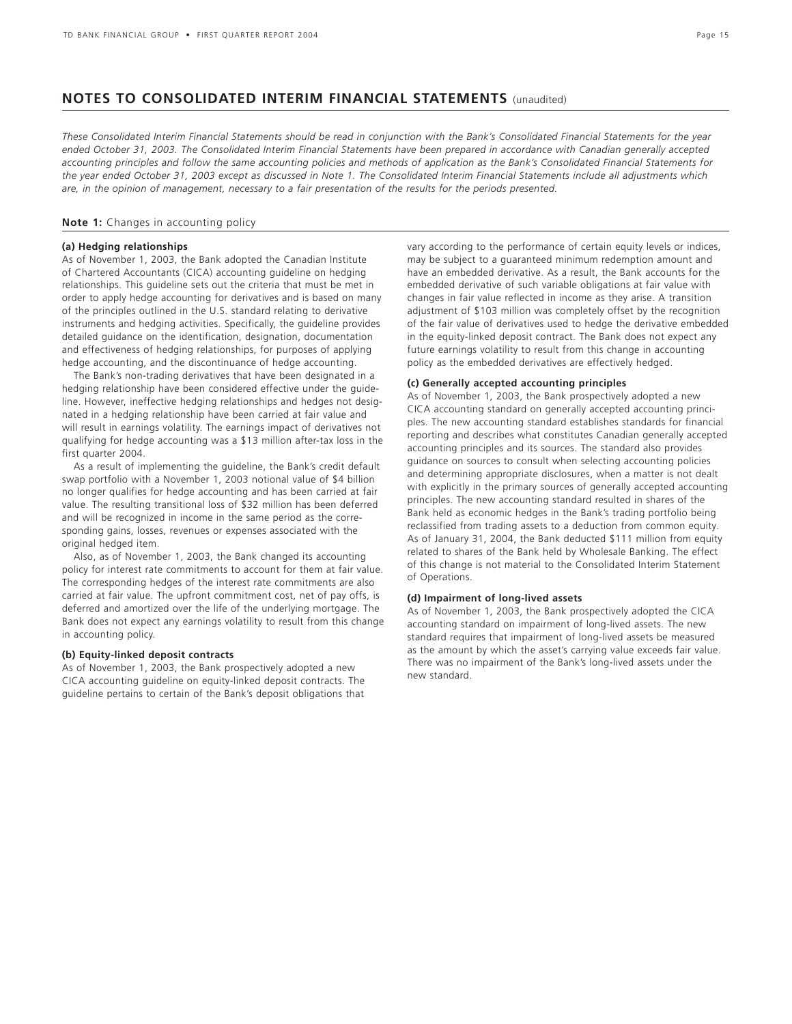### **NOTES TO CONSOLIDATED INTERIM FINANCIAL STATEMENTS** (unaudited)

*These Consolidated Interim Financial Statements should be read in conjunction with the Bank's Consolidated Financial Statements for the year ended October 31, 2003. The Consolidated Interim Financial Statements have been prepared in accordance with Canadian generally accepted accounting principles and follow the same accounting policies and methods of application as the Bank's Consolidated Financial Statements for the year ended October 31, 2003 except as discussed in Note 1. The Consolidated Interim Financial Statements include all adjustments which are, in the opinion of management, necessary to a fair presentation of the results for the periods presented.*

#### **Note 1:** Changes in accounting policy

### **(a) Hedging relationships**

As of November 1, 2003, the Bank adopted the Canadian Institute of Chartered Accountants (CICA) accounting guideline on hedging relationships. This guideline sets out the criteria that must be met in order to apply hedge accounting for derivatives and is based on many of the principles outlined in the U.S. standard relating to derivative instruments and hedging activities. Specifically, the guideline provides detailed guidance on the identification, designation, documentation and effectiveness of hedging relationships, for purposes of applying hedge accounting, and the discontinuance of hedge accounting.

The Bank's non-trading derivatives that have been designated in a hedging relationship have been considered effective under the guideline. However, ineffective hedging relationships and hedges not designated in a hedging relationship have been carried at fair value and will result in earnings volatility. The earnings impact of derivatives not qualifying for hedge accounting was a \$13 million after-tax loss in the first quarter 2004.

As a result of implementing the guideline, the Bank's credit default swap portfolio with a November 1, 2003 notional value of \$4 billion no longer qualifies for hedge accounting and has been carried at fair value. The resulting transitional loss of \$32 million has been deferred and will be recognized in income in the same period as the corresponding gains, losses, revenues or expenses associated with the original hedged item.

Also, as of November 1, 2003, the Bank changed its accounting policy for interest rate commitments to account for them at fair value. The corresponding hedges of the interest rate commitments are also carried at fair value. The upfront commitment cost, net of pay offs, is deferred and amortized over the life of the underlying mortgage. The Bank does not expect any earnings volatility to result from this change in accounting policy.

### **(b) Equity-linked deposit contracts**

As of November 1, 2003, the Bank prospectively adopted a new CICA accounting guideline on equity-linked deposit contracts. The guideline pertains to certain of the Bank's deposit obligations that vary according to the performance of certain equity levels or indices, may be subject to a guaranteed minimum redemption amount and have an embedded derivative. As a result, the Bank accounts for the embedded derivative of such variable obligations at fair value with changes in fair value reflected in income as they arise. A transition adjustment of \$103 million was completely offset by the recognition of the fair value of derivatives used to hedge the derivative embedded in the equity-linked deposit contract. The Bank does not expect any future earnings volatility to result from this change in accounting policy as the embedded derivatives are effectively hedged.

### **(c) Generally accepted accounting principles**

As of November 1, 2003, the Bank prospectively adopted a new CICA accounting standard on generally accepted accounting principles. The new accounting standard establishes standards for financial reporting and describes what constitutes Canadian generally accepted accounting principles and its sources. The standard also provides guidance on sources to consult when selecting accounting policies and determining appropriate disclosures, when a matter is not dealt with explicitly in the primary sources of generally accepted accounting principles. The new accounting standard resulted in shares of the Bank held as economic hedges in the Bank's trading portfolio being reclassified from trading assets to a deduction from common equity. As of January 31, 2004, the Bank deducted \$111 million from equity related to shares of the Bank held by Wholesale Banking. The effect of this change is not material to the Consolidated Interim Statement of Operations.

### **(d) Impairment of long-lived assets**

As of November 1, 2003, the Bank prospectively adopted the CICA accounting standard on impairment of long-lived assets. The new standard requires that impairment of long-lived assets be measured as the amount by which the asset's carrying value exceeds fair value. There was no impairment of the Bank's long-lived assets under the new standard.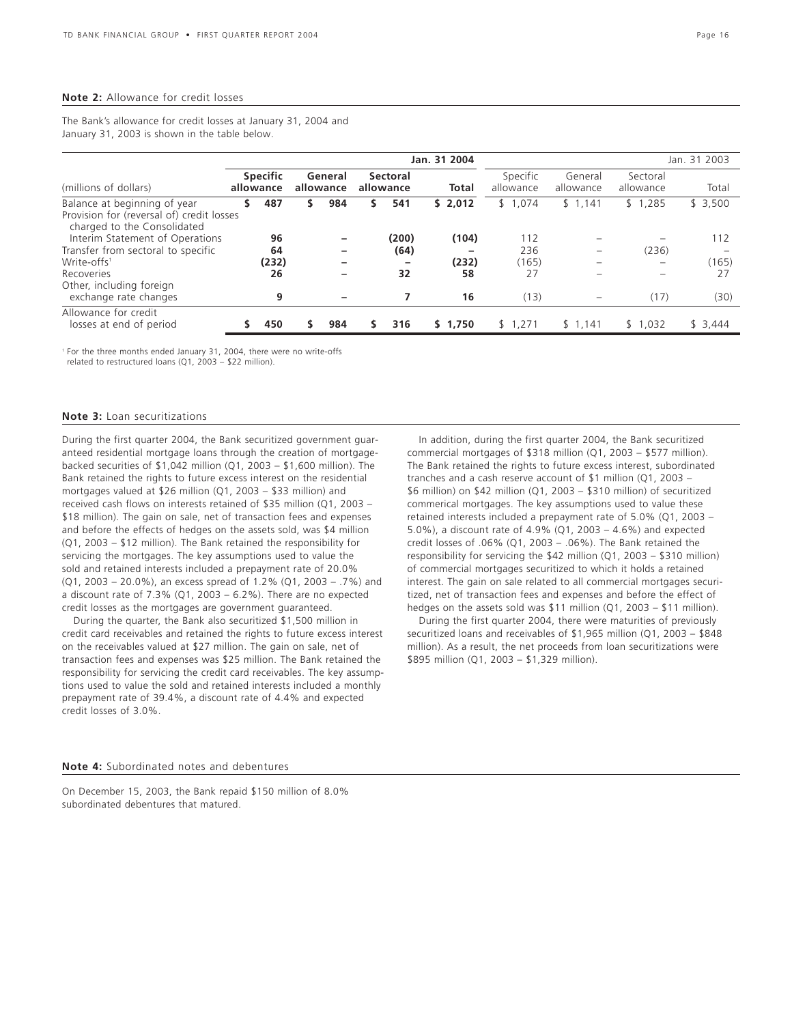#### **Note 2:** Allowance for credit losses

The Bank's allowance for credit losses at January 31, 2004 and January 31, 2003 is shown in the table below.

|                                                                                                          |   |                              |   |                      |   |                          | Jan. 31 2004 |                       |                      |                          | Jan. 31 2003 |  |
|----------------------------------------------------------------------------------------------------------|---|------------------------------|---|----------------------|---|--------------------------|--------------|-----------------------|----------------------|--------------------------|--------------|--|
| (millions of dollars)                                                                                    |   | <b>Specific</b><br>allowance |   | General<br>allowance |   | Sectoral<br>allowance    | Total        | Specific<br>allowance | General<br>allowance | Sectoral<br>allowance    | Total        |  |
| Balance at beginning of year<br>Provision for (reversal of) credit losses<br>charged to the Consolidated | s | 487                          | s | 984                  | s | 541                      | \$2,012      | \$1,074               | \$1,141              | \$1,285                  | \$3,500      |  |
| Interim Statement of Operations                                                                          |   | 96                           |   |                      |   | (200)                    | (104)        | 112                   |                      |                          | 112          |  |
| Transfer from sectoral to specific                                                                       |   | 64                           |   |                      |   | (64)                     |              | 236                   |                      | (236)                    |              |  |
| Write-offs <sup>1</sup>                                                                                  |   | (232)                        |   |                      |   | $\overline{\phantom{0}}$ | (232)        | (165)                 |                      | $\overline{\phantom{a}}$ | (165)        |  |
| Recoveries<br>Other, including foreign                                                                   |   | 26                           |   |                      |   | 32                       | 58           | 27                    |                      |                          | 27           |  |
| exchange rate changes                                                                                    |   | 9                            |   |                      |   |                          | 16           | (13)                  |                      | (17)                     | (30)         |  |
| Allowance for credit<br>losses at end of period                                                          |   | 450                          |   | 984                  | S | 316                      | \$1.750      | \$1,271               | \$1,141              | \$1,032                  | \$3,444      |  |

<sup>1</sup> For the three months ended January 31, 2004, there were no write-offs

related to restructured loans (Q1, 2003 – \$22 million).

#### **Note 3:** Loan securitizations

During the first quarter 2004, the Bank securitized government guaranteed residential mortgage loans through the creation of mortgagebacked securities of \$1,042 million (Q1, 2003 – \$1,600 million). The Bank retained the rights to future excess interest on the residential mortgages valued at \$26 million (Q1, 2003 – \$33 million) and received cash flows on interests retained of \$35 million (Q1, 2003 – \$18 million). The gain on sale, net of transaction fees and expenses and before the effects of hedges on the assets sold, was \$4 million (Q1, 2003 – \$12 million). The Bank retained the responsibility for servicing the mortgages. The key assumptions used to value the sold and retained interests included a prepayment rate of 20.0% (Q1, 2003 – 20.0%), an excess spread of 1.2% (Q1, 2003 – .7%) and a discount rate of  $7.3\%$  (Q1, 2003 –  $6.2\%$ ). There are no expected credit losses as the mortgages are government guaranteed.

During the quarter, the Bank also securitized \$1,500 million in credit card receivables and retained the rights to future excess interest on the receivables valued at \$27 million. The gain on sale, net of transaction fees and expenses was \$25 million. The Bank retained the responsibility for servicing the credit card receivables. The key assumptions used to value the sold and retained interests included a monthly prepayment rate of 39.4%, a discount rate of 4.4% and expected credit losses of 3.0%.

In addition, during the first quarter 2004, the Bank securitized commercial mortgages of \$318 million (Q1, 2003 – \$577 million). The Bank retained the rights to future excess interest, subordinated tranches and a cash reserve account of \$1 million (Q1, 2003 – \$6 million) on \$42 million (Q1, 2003 – \$310 million) of securitized commerical mortgages. The key assumptions used to value these retained interests included a prepayment rate of 5.0% (Q1, 2003 – 5.0%), a discount rate of 4.9% (Q1, 2003 – 4.6%) and expected credit losses of .06% (Q1, 2003 – .06%). The Bank retained the responsibility for servicing the \$42 million (Q1, 2003 – \$310 million) of commercial mortgages securitized to which it holds a retained interest. The gain on sale related to all commercial mortgages securitized, net of transaction fees and expenses and before the effect of hedges on the assets sold was \$11 million (Q1, 2003 – \$11 million).

During the first quarter 2004, there were maturities of previously securitized loans and receivables of \$1,965 million (Q1, 2003 – \$848 million). As a result, the net proceeds from loan securitizations were \$895 million (Q1, 2003 – \$1,329 million).

### **Note 4:** Subordinated notes and debentures

On December 15, 2003, the Bank repaid \$150 million of 8.0% subordinated debentures that matured.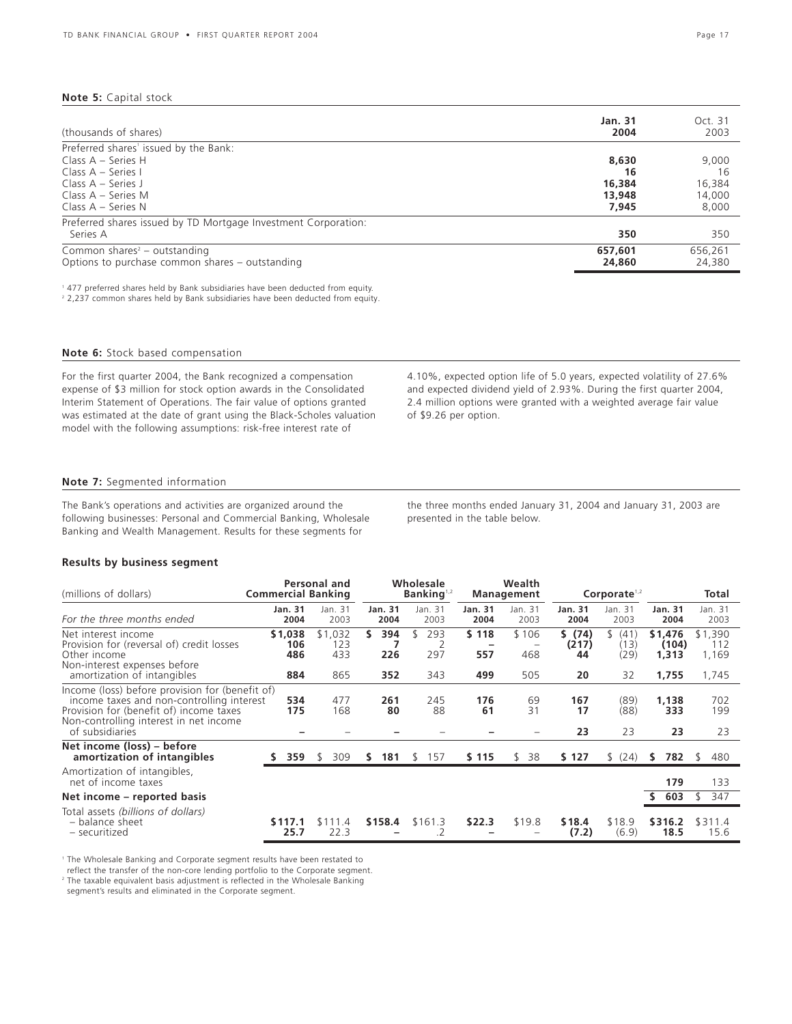### **Note 5:** Capital stock

| (thousands of shares)                                          | Jan. 31<br>2004 | Oct. 31<br>2003 |
|----------------------------------------------------------------|-----------------|-----------------|
| Preferred shares' issued by the Bank:                          |                 |                 |
| Class $A -$ Series H                                           | 8,630           | 9,000           |
| Class $A - Series I$                                           | 16              | 16              |
| Class $A - Series$ J                                           | 16,384          | 16,384          |
| Class A – Series M                                             | 13,948          | 14,000          |
| Class $A -$ Series N                                           | 7.945           | 8,000           |
| Preferred shares issued by TD Mortgage Investment Corporation: |                 |                 |
| Series A                                                       | 350             | 350             |
| Common shares <sup>2</sup> – outstanding                       | 657,601         | 656.261         |
| Options to purchase common shares – outstanding                | 24,860          | 24,380          |

<sup>1</sup> 477 preferred shares held by Bank subsidiaries have been deducted from equity.

<sup>2</sup> 2,237 common shares held by Bank subsidiaries have been deducted from equity.

### **Note 6:** Stock based compensation

For the first quarter 2004, the Bank recognized a compensation expense of \$3 million for stock option awards in the Consolidated Interim Statement of Operations. The fair value of options granted was estimated at the date of grant using the Black-Scholes valuation model with the following assumptions: risk-free interest rate of

4.10%, expected option life of 5.0 years, expected volatility of 27.6% and expected dividend yield of 2.93%. During the first quarter 2004, 2.4 million options were granted with a weighted average fair value of \$9.26 per option.

### **Note 7:** Segmented information

The Bank's operations and activities are organized around the following businesses: Personal and Commercial Banking, Wholesale Banking and Wealth Management. Results for these segments for

the three months ended January 31, 2004 and January 31, 2003 are presented in the table below.

### **Results by business segment**

| (millions of dollars)                                                                                                                                                                                | <b>Commercial Banking</b>    | Personal and                 |                         | Wholesale<br>Banking <sup>1,2</sup> |                          | Wealth<br><b>Management</b> |                             | Corporate <sup>1,2</sup>     |                                    | Total                            |
|------------------------------------------------------------------------------------------------------------------------------------------------------------------------------------------------------|------------------------------|------------------------------|-------------------------|-------------------------------------|--------------------------|-----------------------------|-----------------------------|------------------------------|------------------------------------|----------------------------------|
| For the three months ended                                                                                                                                                                           | <b>Jan. 31</b><br>2004       | Jan. 31<br>2003              | <b>Jan. 31</b><br>2004  | Jan. 31<br>2003                     | <b>Jan. 31</b><br>2004   | Jan. 31<br>2003             | <b>Jan. 31</b><br>2004      | Jan. 31<br>2003              | <b>Jan. 31</b><br>2004             | Jan. 31<br>2003                  |
| Net interest income<br>Provision for (reversal of) credit losses<br>Other income<br>Non-interest expenses before<br>amortization of intangibles                                                      | \$1,038<br>106<br>486<br>884 | \$1,032<br>123<br>433<br>865 | 394<br>S.<br>226<br>352 | 293<br>\$<br>2<br>297<br>343        | \$118<br>-<br>557<br>499 | \$106<br>468<br>505         | \$(74)<br>(217)<br>44<br>20 | \$(41)<br>(13)<br>(29)<br>32 | \$1,476<br>(104)<br>1,313<br>1,755 | \$1,390<br>112<br>1,169<br>1,745 |
| Income (loss) before provision for (benefit of)<br>income taxes and non-controlling interest<br>Provision for (benefit of) income taxes<br>Non-controlling interest in net income<br>of subsidiaries | 534<br>175                   | 477<br>168                   | 261<br>80               | 245<br>88                           | 176<br>61                | 69<br>31                    | 167<br>17<br>23             | (89)<br>(88)<br>23           | 1,138<br>333<br>23                 | 702<br>199<br>23                 |
| Net income (loss) – before<br>amortization of intangibles                                                                                                                                            | 359                          | 309<br>\$                    | 181<br>S.               | 157<br>\$                           | \$115                    | 38<br>\$                    | \$127                       | \$ (24)                      | 782<br>s                           | 480<br>\$.                       |
| Amortization of intangibles,<br>net of income taxes                                                                                                                                                  |                              |                              |                         |                                     |                          |                             |                             |                              | 179                                | 133                              |
| Net income – reported basis                                                                                                                                                                          |                              |                              |                         |                                     |                          |                             |                             |                              | 603                                | 347<br>٢.                        |
| Total assets (billions of dollars)<br>- balance sheet<br>- securitized                                                                                                                               | \$117.1<br>25.7              | \$111.4<br>22.3              | \$158.4                 | \$161.3<br>.2                       | \$22.3                   | \$19.8                      | \$18.4<br>(7.2)             | \$18.9<br>(6.9)              | \$316.2<br>18.5                    | \$311.4<br>15.6                  |

<sup>1</sup> The Wholesale Banking and Corporate segment results have been restated to

reflect the transfer of the non-core lending portfolio to the Corporate segment.

<sup>2</sup> The taxable equivalent basis adjustment is reflected in the Wholesale Banking

segment's results and eliminated in the Corporate segment.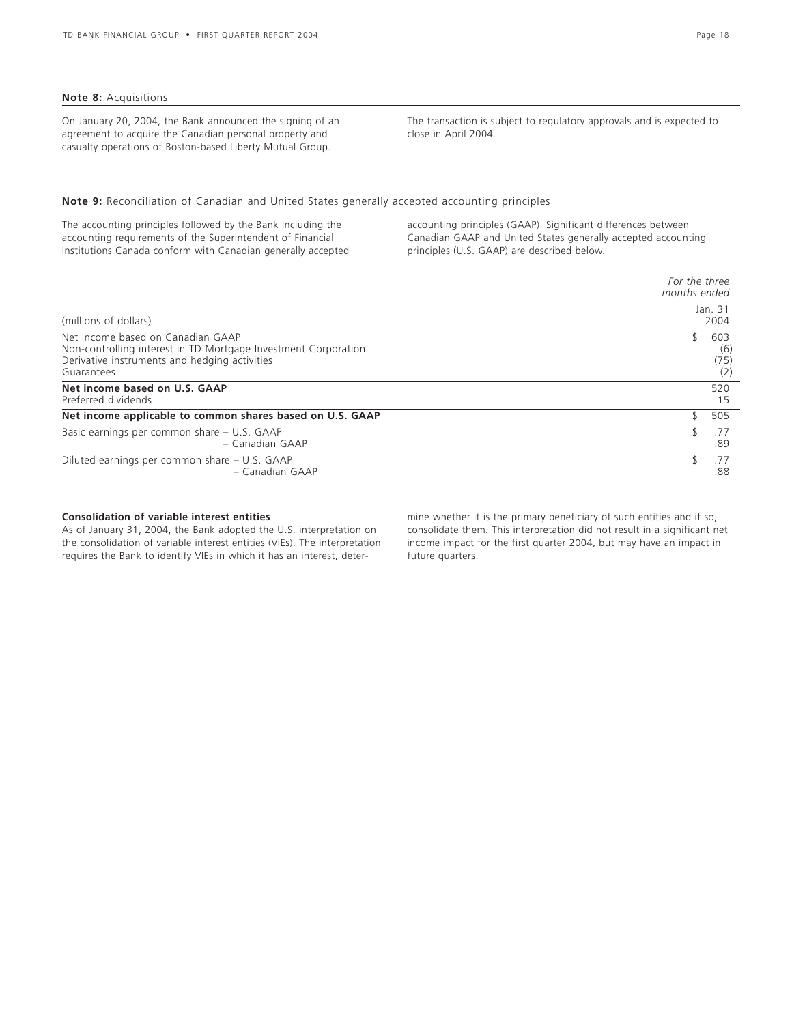On January 20, 2004, the Bank announced the signing of an agreement to acquire the Canadian personal property and casualty operations of Boston-based Liberty Mutual Group.

The transaction is subject to regulatory approvals and is expected to close in April 2004.

### **Note 9:** Reconciliation of Canadian and United States generally accepted accounting principles

The accounting principles followed by the Bank including the accounting requirements of the Superintendent of Financial Institutions Canada conform with Canadian generally accepted

accounting principles (GAAP). Significant differences between Canadian GAAP and United States generally accepted accounting principles (U.S. GAAP) are described below.

|                                                                                                                                                                    | For the three<br>months ended |                           |  |  |
|--------------------------------------------------------------------------------------------------------------------------------------------------------------------|-------------------------------|---------------------------|--|--|
| (millions of dollars)                                                                                                                                              |                               | Jan. 31<br>2004           |  |  |
| Net income based on Canadian GAAP<br>Non-controlling interest in TD Mortgage Investment Corporation<br>Derivative instruments and hedging activities<br>Guarantees |                               | 603<br>(6)<br>(75)<br>(2) |  |  |
| Net income based on U.S. GAAP<br>Preferred dividends                                                                                                               |                               | 520<br>15                 |  |  |
| Net income applicable to common shares based on U.S. GAAP                                                                                                          |                               | 505                       |  |  |
| Basic earnings per common share - U.S. GAAP<br>- Canadian GAAP                                                                                                     |                               | .77<br>.89                |  |  |
| Diluted earnings per common share – U.S. GAAP<br>- Canadian GAAP                                                                                                   |                               | .77<br>.88                |  |  |

### **Consolidation of variable interest entities**

As of January 31, 2004, the Bank adopted the U.S. interpretation on the consolidation of variable interest entities (VIEs). The interpretation requires the Bank to identify VIEs in which it has an interest, determine whether it is the primary beneficiary of such entities and if so, consolidate them. This interpretation did not result in a significant net income impact for the first quarter 2004, but may have an impact in future quarters.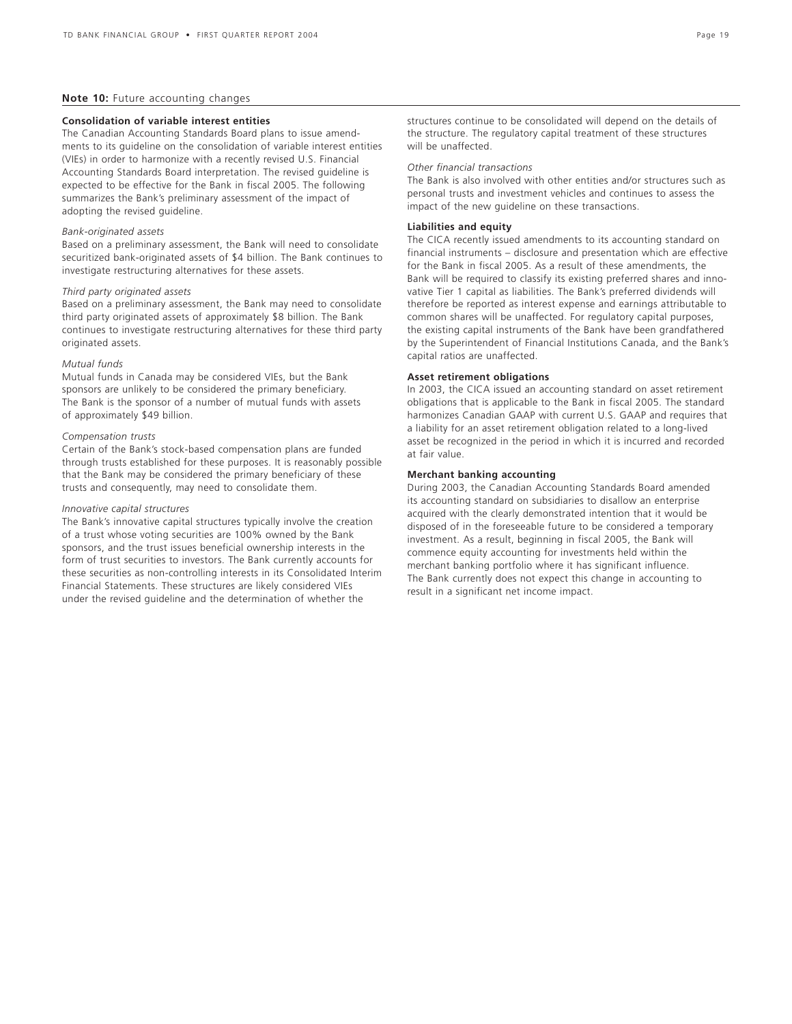### **Note 10: Future accounting changes**

### **Consolidation of variable interest entities**

The Canadian Accounting Standards Board plans to issue amendments to its guideline on the consolidation of variable interest entities (VIEs) in order to harmonize with a recently revised U.S. Financial Accounting Standards Board interpretation. The revised guideline is expected to be effective for the Bank in fiscal 2005. The following summarizes the Bank's preliminary assessment of the impact of adopting the revised guideline.

### *Bank-originated assets*

Based on a preliminary assessment, the Bank will need to consolidate securitized bank-originated assets of \$4 billion. The Bank continues to investigate restructuring alternatives for these assets.

### *Third party originated assets*

Based on a preliminary assessment, the Bank may need to consolidate third party originated assets of approximately \$8 billion. The Bank continues to investigate restructuring alternatives for these third party originated assets.

#### *Mutual funds*

Mutual funds in Canada may be considered VIEs, but the Bank sponsors are unlikely to be considered the primary beneficiary. The Bank is the sponsor of a number of mutual funds with assets of approximately \$49 billion.

#### *Compensation trusts*

Certain of the Bank's stock-based compensation plans are funded through trusts established for these purposes. It is reasonably possible that the Bank may be considered the primary beneficiary of these trusts and consequently, may need to consolidate them.

### *Innovative capital structures*

The Bank's innovative capital structures typically involve the creation of a trust whose voting securities are 100% owned by the Bank sponsors, and the trust issues beneficial ownership interests in the form of trust securities to investors. The Bank currently accounts for these securities as non-controlling interests in its Consolidated Interim Financial Statements. These structures are likely considered VIEs under the revised guideline and the determination of whether the

structures continue to be consolidated will depend on the details of the structure. The regulatory capital treatment of these structures will be unaffected.

#### *Other financial transactions*

The Bank is also involved with other entities and/or structures such as personal trusts and investment vehicles and continues to assess the impact of the new guideline on these transactions.

#### **Liabilities and equity**

The CICA recently issued amendments to its accounting standard on financial instruments – disclosure and presentation which are effective for the Bank in fiscal 2005. As a result of these amendments, the Bank will be required to classify its existing preferred shares and innovative Tier 1 capital as liabilities. The Bank's preferred dividends will therefore be reported as interest expense and earnings attributable to common shares will be unaffected. For regulatory capital purposes, the existing capital instruments of the Bank have been grandfathered by the Superintendent of Financial Institutions Canada, and the Bank's capital ratios are unaffected.

### **Asset retirement obligations**

In 2003, the CICA issued an accounting standard on asset retirement obligations that is applicable to the Bank in fiscal 2005. The standard harmonizes Canadian GAAP with current U.S. GAAP and requires that a liability for an asset retirement obligation related to a long-lived asset be recognized in the period in which it is incurred and recorded at fair value.

### **Merchant banking accounting**

During 2003, the Canadian Accounting Standards Board amended its accounting standard on subsidiaries to disallow an enterprise acquired with the clearly demonstrated intention that it would be disposed of in the foreseeable future to be considered a temporary investment. As a result, beginning in fiscal 2005, the Bank will commence equity accounting for investments held within the merchant banking portfolio where it has significant influence. The Bank currently does not expect this change in accounting to result in a significant net income impact.